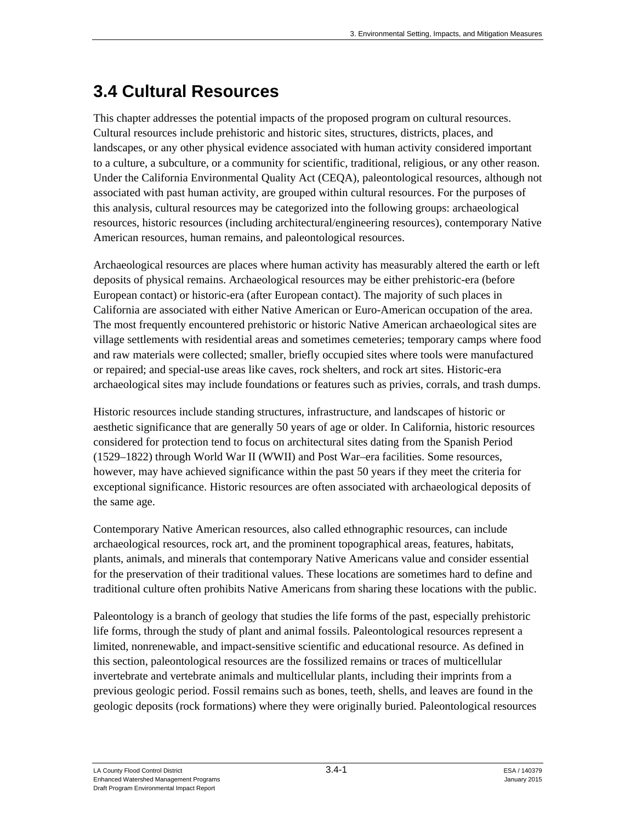# **3.4 Cultural Resources**

This chapter addresses the potential impacts of the proposed program on cultural resources. Cultural resources include prehistoric and historic sites, structures, districts, places, and landscapes, or any other physical evidence associated with human activity considered important to a culture, a subculture, or a community for scientific, traditional, religious, or any other reason. Under the California Environmental Quality Act (CEQA), paleontological resources, although not associated with past human activity, are grouped within cultural resources. For the purposes of this analysis, cultural resources may be categorized into the following groups: archaeological resources, historic resources (including architectural/engineering resources), contemporary Native American resources, human remains, and paleontological resources.

Archaeological resources are places where human activity has measurably altered the earth or left deposits of physical remains. Archaeological resources may be either prehistoric-era (before European contact) or historic-era (after European contact). The majority of such places in California are associated with either Native American or Euro-American occupation of the area. The most frequently encountered prehistoric or historic Native American archaeological sites are village settlements with residential areas and sometimes cemeteries; temporary camps where food and raw materials were collected; smaller, briefly occupied sites where tools were manufactured or repaired; and special-use areas like caves, rock shelters, and rock art sites. Historic-era archaeological sites may include foundations or features such as privies, corrals, and trash dumps.

Historic resources include standing structures, infrastructure, and landscapes of historic or aesthetic significance that are generally 50 years of age or older. In California, historic resources considered for protection tend to focus on architectural sites dating from the Spanish Period (1529–1822) through World War II (WWII) and Post War–era facilities. Some resources, however, may have achieved significance within the past 50 years if they meet the criteria for exceptional significance. Historic resources are often associated with archaeological deposits of the same age.

Contemporary Native American resources, also called ethnographic resources, can include archaeological resources, rock art, and the prominent topographical areas, features, habitats, plants, animals, and minerals that contemporary Native Americans value and consider essential for the preservation of their traditional values. These locations are sometimes hard to define and traditional culture often prohibits Native Americans from sharing these locations with the public.

Paleontology is a branch of geology that studies the life forms of the past, especially prehistoric life forms, through the study of plant and animal fossils. Paleontological resources represent a limited, nonrenewable, and impact-sensitive scientific and educational resource. As defined in this section, paleontological resources are the fossilized remains or traces of multicellular invertebrate and vertebrate animals and multicellular plants, including their imprints from a previous geologic period. Fossil remains such as bones, teeth, shells, and leaves are found in the geologic deposits (rock formations) where they were originally buried. Paleontological resources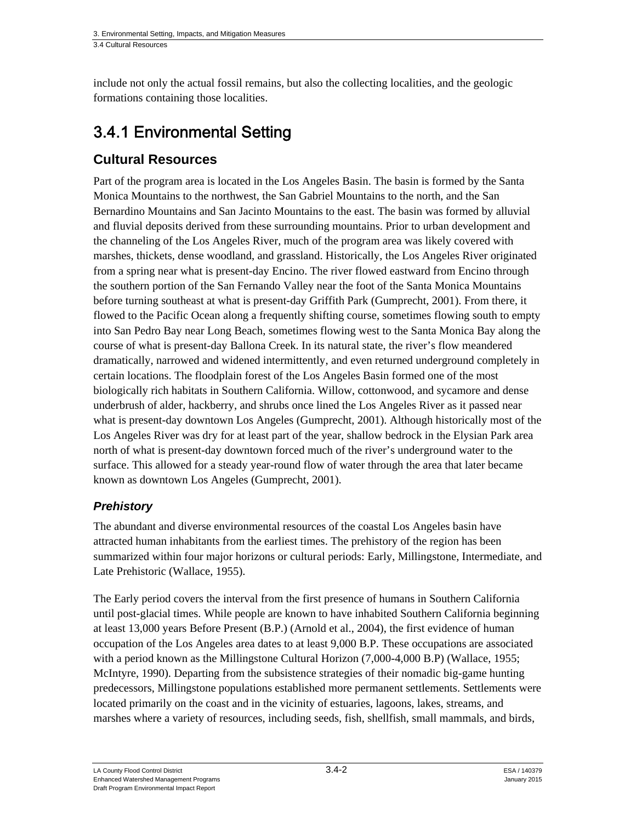include not only the actual fossil remains, but also the collecting localities, and the geologic formations containing those localities.

# 3.4.1 Environmental Setting

# **Cultural Resources**

Part of the program area is located in the Los Angeles Basin. The basin is formed by the Santa Monica Mountains to the northwest, the San Gabriel Mountains to the north, and the San Bernardino Mountains and San Jacinto Mountains to the east. The basin was formed by alluvial and fluvial deposits derived from these surrounding mountains. Prior to urban development and the channeling of the Los Angeles River, much of the program area was likely covered with marshes, thickets, dense woodland, and grassland. Historically, the Los Angeles River originated from a spring near what is present-day Encino. The river flowed eastward from Encino through the southern portion of the San Fernando Valley near the foot of the Santa Monica Mountains before turning southeast at what is present-day Griffith Park (Gumprecht, 2001). From there, it flowed to the Pacific Ocean along a frequently shifting course, sometimes flowing south to empty into San Pedro Bay near Long Beach, sometimes flowing west to the Santa Monica Bay along the course of what is present-day Ballona Creek. In its natural state, the river's flow meandered dramatically, narrowed and widened intermittently, and even returned underground completely in certain locations. The floodplain forest of the Los Angeles Basin formed one of the most biologically rich habitats in Southern California. Willow, cottonwood, and sycamore and dense underbrush of alder, hackberry, and shrubs once lined the Los Angeles River as it passed near what is present-day downtown Los Angeles (Gumprecht, 2001). Although historically most of the Los Angeles River was dry for at least part of the year, shallow bedrock in the Elysian Park area north of what is present-day downtown forced much of the river's underground water to the surface. This allowed for a steady year-round flow of water through the area that later became known as downtown Los Angeles (Gumprecht, 2001).

# *Prehistory*

The abundant and diverse environmental resources of the coastal Los Angeles basin have attracted human inhabitants from the earliest times. The prehistory of the region has been summarized within four major horizons or cultural periods: Early, Millingstone, Intermediate, and Late Prehistoric (Wallace, 1955).

The Early period covers the interval from the first presence of humans in Southern California until post-glacial times. While people are known to have inhabited Southern California beginning at least 13,000 years Before Present (B.P.) (Arnold et al., 2004), the first evidence of human occupation of the Los Angeles area dates to at least 9,000 B.P. These occupations are associated with a period known as the Millingstone Cultural Horizon (7,000-4,000 B.P) (Wallace, 1955; McIntyre, 1990). Departing from the subsistence strategies of their nomadic big-game hunting predecessors, Millingstone populations established more permanent settlements. Settlements were located primarily on the coast and in the vicinity of estuaries, lagoons, lakes, streams, and marshes where a variety of resources, including seeds, fish, shellfish, small mammals, and birds,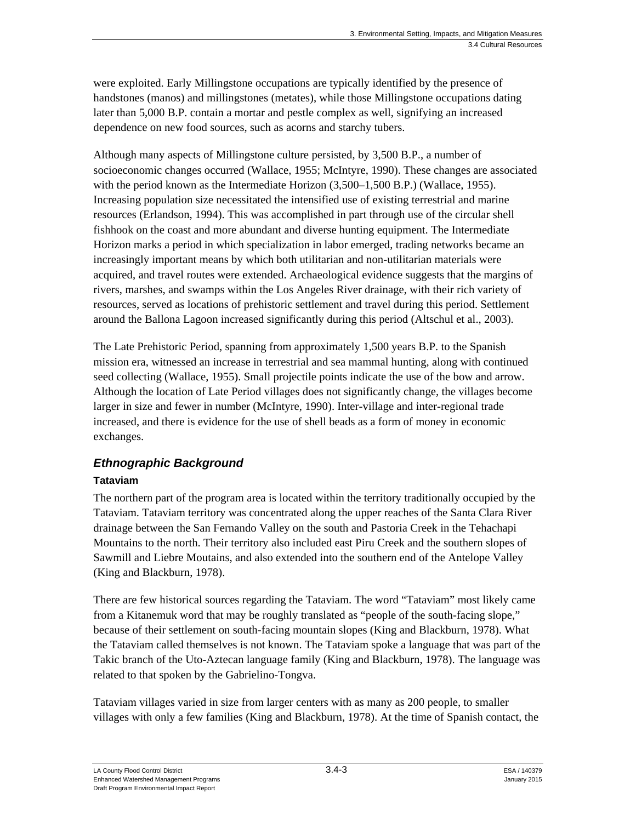were exploited. Early Millingstone occupations are typically identified by the presence of handstones (manos) and millingstones (metates), while those Millingstone occupations dating later than 5,000 B.P. contain a mortar and pestle complex as well, signifying an increased dependence on new food sources, such as acorns and starchy tubers.

Although many aspects of Millingstone culture persisted, by 3,500 B.P., a number of socioeconomic changes occurred (Wallace, 1955; McIntyre, 1990). These changes are associated with the period known as the Intermediate Horizon (3,500–1,500 B.P.) (Wallace, 1955). Increasing population size necessitated the intensified use of existing terrestrial and marine resources (Erlandson, 1994). This was accomplished in part through use of the circular shell fishhook on the coast and more abundant and diverse hunting equipment. The Intermediate Horizon marks a period in which specialization in labor emerged, trading networks became an increasingly important means by which both utilitarian and non-utilitarian materials were acquired, and travel routes were extended. Archaeological evidence suggests that the margins of rivers, marshes, and swamps within the Los Angeles River drainage, with their rich variety of resources, served as locations of prehistoric settlement and travel during this period. Settlement around the Ballona Lagoon increased significantly during this period (Altschul et al., 2003).

The Late Prehistoric Period, spanning from approximately 1,500 years B.P. to the Spanish mission era, witnessed an increase in terrestrial and sea mammal hunting, along with continued seed collecting (Wallace, 1955). Small projectile points indicate the use of the bow and arrow. Although the location of Late Period villages does not significantly change, the villages become larger in size and fewer in number (McIntyre, 1990). Inter-village and inter-regional trade increased, and there is evidence for the use of shell beads as a form of money in economic exchanges.

# *Ethnographic Background*

### **Tataviam**

The northern part of the program area is located within the territory traditionally occupied by the Tataviam. Tataviam territory was concentrated along the upper reaches of the Santa Clara River drainage between the San Fernando Valley on the south and Pastoria Creek in the Tehachapi Mountains to the north. Their territory also included east Piru Creek and the southern slopes of Sawmill and Liebre Moutains, and also extended into the southern end of the Antelope Valley (King and Blackburn, 1978).

There are few historical sources regarding the Tataviam. The word "Tataviam" most likely came from a Kitanemuk word that may be roughly translated as "people of the south-facing slope," because of their settlement on south-facing mountain slopes (King and Blackburn, 1978). What the Tataviam called themselves is not known. The Tataviam spoke a language that was part of the Takic branch of the Uto-Aztecan language family (King and Blackburn, 1978). The language was related to that spoken by the Gabrielino-Tongva.

Tataviam villages varied in size from larger centers with as many as 200 people, to smaller villages with only a few families (King and Blackburn, 1978). At the time of Spanish contact, the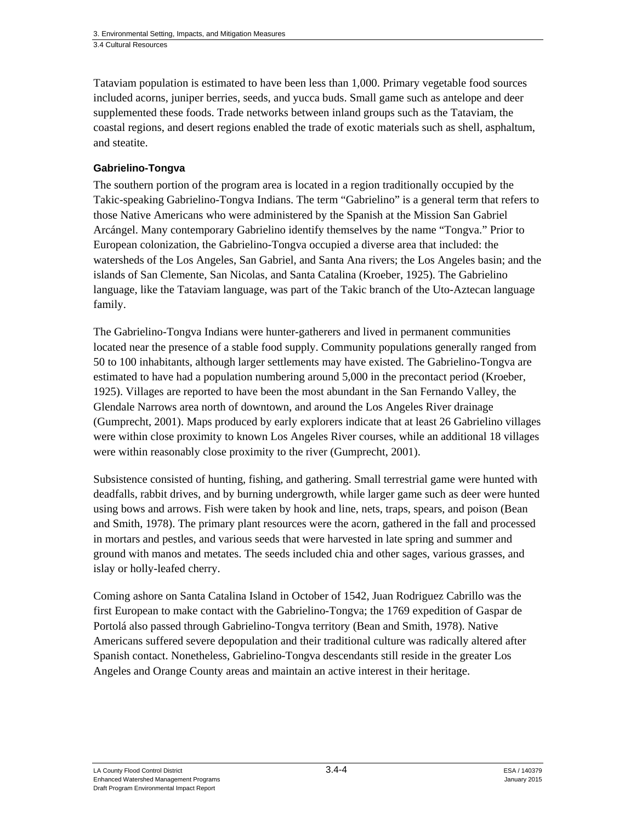Tataviam population is estimated to have been less than 1,000. Primary vegetable food sources included acorns, juniper berries, seeds, and yucca buds. Small game such as antelope and deer supplemented these foods. Trade networks between inland groups such as the Tataviam, the coastal regions, and desert regions enabled the trade of exotic materials such as shell, asphaltum, and steatite.

### **Gabrielino-Tongva**

The southern portion of the program area is located in a region traditionally occupied by the Takic-speaking Gabrielino-Tongva Indians. The term "Gabrielino" is a general term that refers to those Native Americans who were administered by the Spanish at the Mission San Gabriel Arcángel. Many contemporary Gabrielino identify themselves by the name "Tongva." Prior to European colonization, the Gabrielino-Tongva occupied a diverse area that included: the watersheds of the Los Angeles, San Gabriel, and Santa Ana rivers; the Los Angeles basin; and the islands of San Clemente, San Nicolas, and Santa Catalina (Kroeber, 1925). The Gabrielino language, like the Tataviam language, was part of the Takic branch of the Uto-Aztecan language family.

The Gabrielino-Tongva Indians were hunter-gatherers and lived in permanent communities located near the presence of a stable food supply. Community populations generally ranged from 50 to 100 inhabitants, although larger settlements may have existed. The Gabrielino-Tongva are estimated to have had a population numbering around 5,000 in the precontact period (Kroeber, 1925). Villages are reported to have been the most abundant in the San Fernando Valley, the Glendale Narrows area north of downtown, and around the Los Angeles River drainage (Gumprecht, 2001). Maps produced by early explorers indicate that at least 26 Gabrielino villages were within close proximity to known Los Angeles River courses, while an additional 18 villages were within reasonably close proximity to the river (Gumprecht, 2001).

Subsistence consisted of hunting, fishing, and gathering. Small terrestrial game were hunted with deadfalls, rabbit drives, and by burning undergrowth, while larger game such as deer were hunted using bows and arrows. Fish were taken by hook and line, nets, traps, spears, and poison (Bean and Smith, 1978). The primary plant resources were the acorn, gathered in the fall and processed in mortars and pestles, and various seeds that were harvested in late spring and summer and ground with manos and metates. The seeds included chia and other sages, various grasses, and islay or holly-leafed cherry.

Coming ashore on Santa Catalina Island in October of 1542, Juan Rodriguez Cabrillo was the first European to make contact with the Gabrielino-Tongva; the 1769 expedition of Gaspar de Portolá also passed through Gabrielino-Tongva territory (Bean and Smith, 1978). Native Americans suffered severe depopulation and their traditional culture was radically altered after Spanish contact. Nonetheless, Gabrielino-Tongva descendants still reside in the greater Los Angeles and Orange County areas and maintain an active interest in their heritage.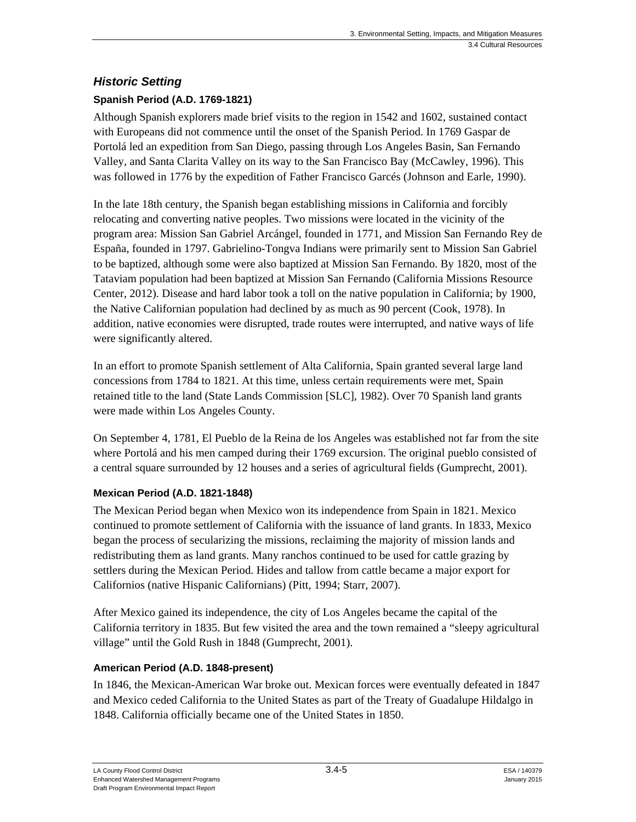# *Historic Setting*

## **Spanish Period (A.D. 1769-1821)**

Although Spanish explorers made brief visits to the region in 1542 and 1602, sustained contact with Europeans did not commence until the onset of the Spanish Period. In 1769 Gaspar de Portolá led an expedition from San Diego, passing through Los Angeles Basin, San Fernando Valley, and Santa Clarita Valley on its way to the San Francisco Bay (McCawley, 1996). This was followed in 1776 by the expedition of Father Francisco Garcés (Johnson and Earle, 1990).

In the late 18th century, the Spanish began establishing missions in California and forcibly relocating and converting native peoples. Two missions were located in the vicinity of the program area: Mission San Gabriel Arcángel, founded in 1771, and Mission San Fernando Rey de España, founded in 1797. Gabrielino-Tongva Indians were primarily sent to Mission San Gabriel to be baptized, although some were also baptized at Mission San Fernando. By 1820, most of the Tataviam population had been baptized at Mission San Fernando (California Missions Resource Center, 2012). Disease and hard labor took a toll on the native population in California; by 1900, the Native Californian population had declined by as much as 90 percent (Cook, 1978). In addition, native economies were disrupted, trade routes were interrupted, and native ways of life were significantly altered.

In an effort to promote Spanish settlement of Alta California, Spain granted several large land concessions from 1784 to 1821. At this time, unless certain requirements were met, Spain retained title to the land (State Lands Commission [SLC], 1982). Over 70 Spanish land grants were made within Los Angeles County.

On September 4, 1781, El Pueblo de la Reina de los Angeles was established not far from the site where Portolá and his men camped during their 1769 excursion. The original pueblo consisted of a central square surrounded by 12 houses and a series of agricultural fields (Gumprecht, 2001).

### **Mexican Period (A.D. 1821-1848)**

The Mexican Period began when Mexico won its independence from Spain in 1821. Mexico continued to promote settlement of California with the issuance of land grants. In 1833, Mexico began the process of secularizing the missions, reclaiming the majority of mission lands and redistributing them as land grants. Many ranchos continued to be used for cattle grazing by settlers during the Mexican Period. Hides and tallow from cattle became a major export for Californios (native Hispanic Californians) (Pitt, 1994; Starr, 2007).

After Mexico gained its independence, the city of Los Angeles became the capital of the California territory in 1835. But few visited the area and the town remained a "sleepy agricultural village" until the Gold Rush in 1848 (Gumprecht, 2001).

### **American Period (A.D. 1848-present)**

In 1846, the Mexican-American War broke out. Mexican forces were eventually defeated in 1847 and Mexico ceded California to the United States as part of the Treaty of Guadalupe Hildalgo in 1848. California officially became one of the United States in 1850.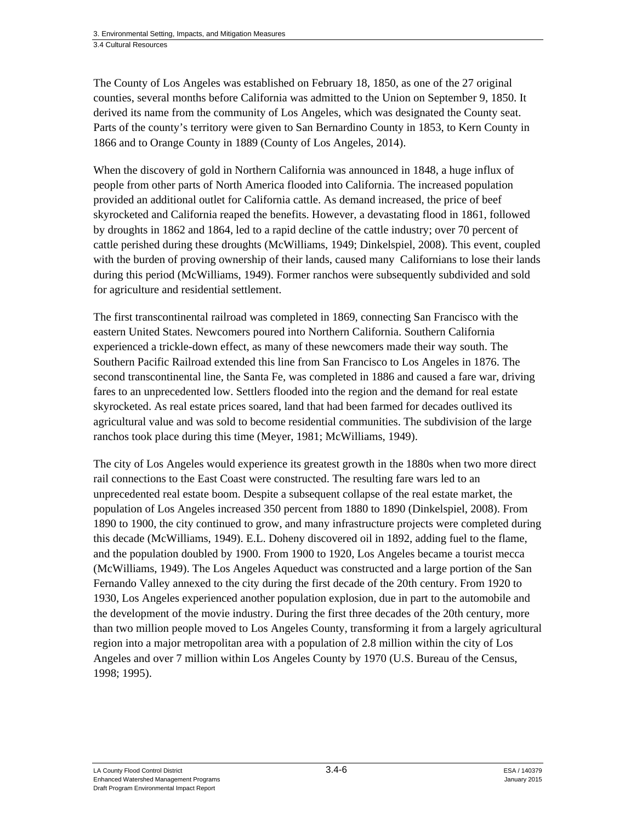The County of Los Angeles was established on February 18, 1850, as one of the 27 original counties, several months before California was admitted to the Union on September 9, 1850. It derived its name from the community of Los Angeles, which was designated the County seat. Parts of the county's territory were given to San Bernardino County in 1853, to Kern County in 1866 and to Orange County in 1889 (County of Los Angeles, 2014).

When the discovery of gold in Northern California was announced in 1848, a huge influx of people from other parts of North America flooded into California. The increased population provided an additional outlet for California cattle. As demand increased, the price of beef skyrocketed and California reaped the benefits. However, a devastating flood in 1861, followed by droughts in 1862 and 1864, led to a rapid decline of the cattle industry; over 70 percent of cattle perished during these droughts (McWilliams, 1949; Dinkelspiel, 2008). This event, coupled with the burden of proving ownership of their lands, caused many Californians to lose their lands during this period (McWilliams, 1949). Former ranchos were subsequently subdivided and sold for agriculture and residential settlement.

The first transcontinental railroad was completed in 1869, connecting San Francisco with the eastern United States. Newcomers poured into Northern California. Southern California experienced a trickle-down effect, as many of these newcomers made their way south. The Southern Pacific Railroad extended this line from San Francisco to Los Angeles in 1876. The second transcontinental line, the Santa Fe, was completed in 1886 and caused a fare war, driving fares to an unprecedented low. Settlers flooded into the region and the demand for real estate skyrocketed. As real estate prices soared, land that had been farmed for decades outlived its agricultural value and was sold to become residential communities. The subdivision of the large ranchos took place during this time (Meyer, 1981; McWilliams, 1949).

The city of Los Angeles would experience its greatest growth in the 1880s when two more direct rail connections to the East Coast were constructed. The resulting fare wars led to an unprecedented real estate boom. Despite a subsequent collapse of the real estate market, the population of Los Angeles increased 350 percent from 1880 to 1890 (Dinkelspiel, 2008). From 1890 to 1900, the city continued to grow, and many infrastructure projects were completed during this decade (McWilliams, 1949). E.L. Doheny discovered oil in 1892, adding fuel to the flame, and the population doubled by 1900. From 1900 to 1920, Los Angeles became a tourist mecca (McWilliams, 1949). The Los Angeles Aqueduct was constructed and a large portion of the San Fernando Valley annexed to the city during the first decade of the 20th century. From 1920 to 1930, Los Angeles experienced another population explosion, due in part to the automobile and the development of the movie industry. During the first three decades of the 20th century, more than two million people moved to Los Angeles County, transforming it from a largely agricultural region into a major metropolitan area with a population of 2.8 million within the city of Los Angeles and over 7 million within Los Angeles County by 1970 (U.S. Bureau of the Census, 1998; 1995).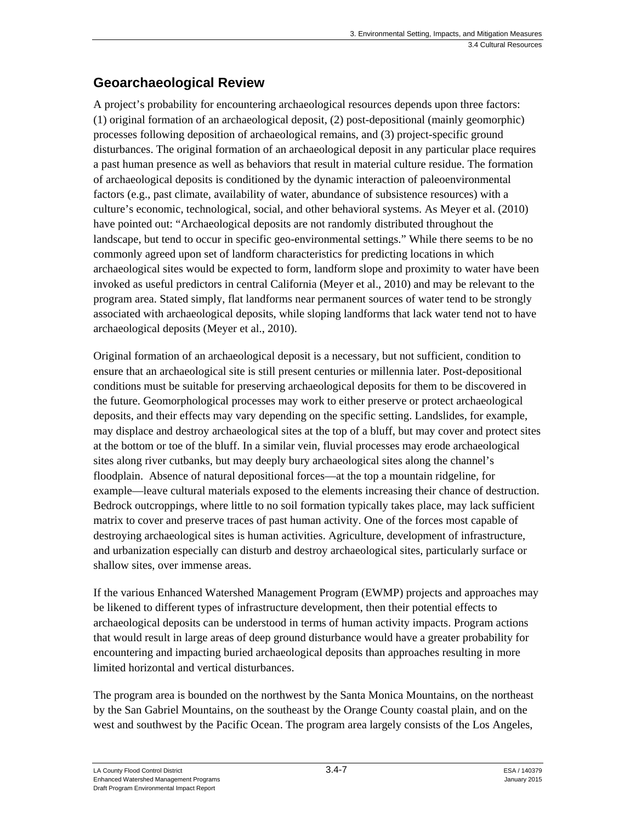# **Geoarchaeological Review**

A project's probability for encountering archaeological resources depends upon three factors: (1) original formation of an archaeological deposit, (2) post-depositional (mainly geomorphic) processes following deposition of archaeological remains, and (3) project-specific ground disturbances. The original formation of an archaeological deposit in any particular place requires a past human presence as well as behaviors that result in material culture residue. The formation of archaeological deposits is conditioned by the dynamic interaction of paleoenvironmental factors (e.g., past climate, availability of water, abundance of subsistence resources) with a culture's economic, technological, social, and other behavioral systems. As Meyer et al. (2010) have pointed out: "Archaeological deposits are not randomly distributed throughout the landscape, but tend to occur in specific geo-environmental settings." While there seems to be no commonly agreed upon set of landform characteristics for predicting locations in which archaeological sites would be expected to form, landform slope and proximity to water have been invoked as useful predictors in central California (Meyer et al., 2010) and may be relevant to the program area. Stated simply, flat landforms near permanent sources of water tend to be strongly associated with archaeological deposits, while sloping landforms that lack water tend not to have archaeological deposits (Meyer et al., 2010).

Original formation of an archaeological deposit is a necessary, but not sufficient, condition to ensure that an archaeological site is still present centuries or millennia later. Post-depositional conditions must be suitable for preserving archaeological deposits for them to be discovered in the future. Geomorphological processes may work to either preserve or protect archaeological deposits, and their effects may vary depending on the specific setting. Landslides, for example, may displace and destroy archaeological sites at the top of a bluff, but may cover and protect sites at the bottom or toe of the bluff. In a similar vein, fluvial processes may erode archaeological sites along river cutbanks, but may deeply bury archaeological sites along the channel's floodplain. Absence of natural depositional forces—at the top a mountain ridgeline, for example—leave cultural materials exposed to the elements increasing their chance of destruction. Bedrock outcroppings, where little to no soil formation typically takes place, may lack sufficient matrix to cover and preserve traces of past human activity. One of the forces most capable of destroying archaeological sites is human activities. Agriculture, development of infrastructure, and urbanization especially can disturb and destroy archaeological sites, particularly surface or shallow sites, over immense areas.

If the various Enhanced Watershed Management Program (EWMP) projects and approaches may be likened to different types of infrastructure development, then their potential effects to archaeological deposits can be understood in terms of human activity impacts. Program actions that would result in large areas of deep ground disturbance would have a greater probability for encountering and impacting buried archaeological deposits than approaches resulting in more limited horizontal and vertical disturbances.

The program area is bounded on the northwest by the Santa Monica Mountains, on the northeast by the San Gabriel Mountains, on the southeast by the Orange County coastal plain, and on the west and southwest by the Pacific Ocean. The program area largely consists of the Los Angeles,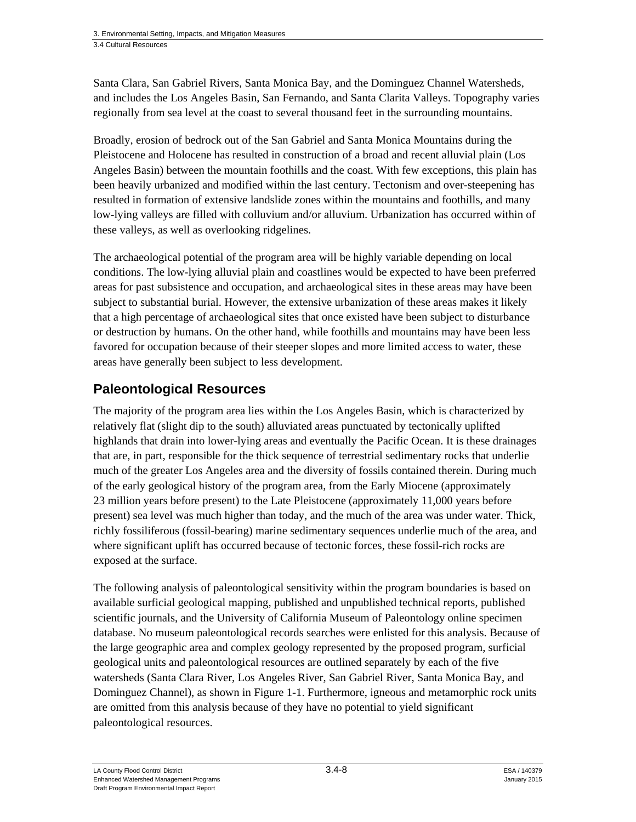Santa Clara, San Gabriel Rivers, Santa Monica Bay, and the Dominguez Channel Watersheds, and includes the Los Angeles Basin, San Fernando, and Santa Clarita Valleys. Topography varies regionally from sea level at the coast to several thousand feet in the surrounding mountains.

Broadly, erosion of bedrock out of the San Gabriel and Santa Monica Mountains during the Pleistocene and Holocene has resulted in construction of a broad and recent alluvial plain (Los Angeles Basin) between the mountain foothills and the coast. With few exceptions, this plain has been heavily urbanized and modified within the last century. Tectonism and over-steepening has resulted in formation of extensive landslide zones within the mountains and foothills, and many low-lying valleys are filled with colluvium and/or alluvium. Urbanization has occurred within of these valleys, as well as overlooking ridgelines.

The archaeological potential of the program area will be highly variable depending on local conditions. The low-lying alluvial plain and coastlines would be expected to have been preferred areas for past subsistence and occupation, and archaeological sites in these areas may have been subject to substantial burial. However, the extensive urbanization of these areas makes it likely that a high percentage of archaeological sites that once existed have been subject to disturbance or destruction by humans. On the other hand, while foothills and mountains may have been less favored for occupation because of their steeper slopes and more limited access to water, these areas have generally been subject to less development.

# **Paleontological Resources**

The majority of the program area lies within the Los Angeles Basin, which is characterized by relatively flat (slight dip to the south) alluviated areas punctuated by tectonically uplifted highlands that drain into lower-lying areas and eventually the Pacific Ocean. It is these drainages that are, in part, responsible for the thick sequence of terrestrial sedimentary rocks that underlie much of the greater Los Angeles area and the diversity of fossils contained therein. During much of the early geological history of the program area, from the Early Miocene (approximately 23 million years before present) to the Late Pleistocene (approximately 11,000 years before present) sea level was much higher than today, and the much of the area was under water. Thick, richly fossiliferous (fossil-bearing) marine sedimentary sequences underlie much of the area, and where significant uplift has occurred because of tectonic forces, these fossil-rich rocks are exposed at the surface.

The following analysis of paleontological sensitivity within the program boundaries is based on available surficial geological mapping, published and unpublished technical reports, published scientific journals, and the University of California Museum of Paleontology online specimen database. No museum paleontological records searches were enlisted for this analysis. Because of the large geographic area and complex geology represented by the proposed program, surficial geological units and paleontological resources are outlined separately by each of the five watersheds (Santa Clara River, Los Angeles River, San Gabriel River, Santa Monica Bay, and Dominguez Channel), as shown in Figure 1-1. Furthermore, igneous and metamorphic rock units are omitted from this analysis because of they have no potential to yield significant paleontological resources.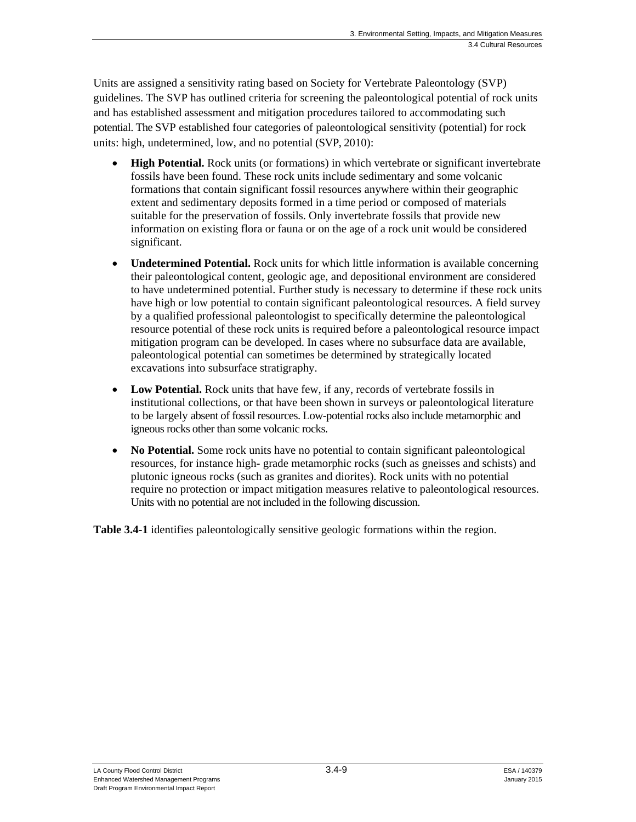Units are assigned a sensitivity rating based on Society for Vertebrate Paleontology (SVP) guidelines. The SVP has outlined criteria for screening the paleontological potential of rock units and has established assessment and mitigation procedures tailored to accommodating such potential. The SVP established four categories of paleontological sensitivity (potential) for rock units: high, undetermined, low, and no potential (SVP, 2010):

- **High Potential.** Rock units (or formations) in which vertebrate or significant invertebrate fossils have been found. These rock units include sedimentary and some volcanic formations that contain significant fossil resources anywhere within their geographic extent and sedimentary deposits formed in a time period or composed of materials suitable for the preservation of fossils. Only invertebrate fossils that provide new information on existing flora or fauna or on the age of a rock unit would be considered significant.
- **Undetermined Potential.** Rock units for which little information is available concerning their paleontological content, geologic age, and depositional environment are considered to have undetermined potential. Further study is necessary to determine if these rock units have high or low potential to contain significant paleontological resources. A field survey by a qualified professional paleontologist to specifically determine the paleontological resource potential of these rock units is required before a paleontological resource impact mitigation program can be developed. In cases where no subsurface data are available, paleontological potential can sometimes be determined by strategically located excavations into subsurface stratigraphy.
- Low Potential. Rock units that have few, if any, records of vertebrate fossils in institutional collections, or that have been shown in surveys or paleontological literature to be largely absent of fossil resources. Low-potential rocks also include metamorphic and igneous rocks other than some volcanic rocks.
- **No Potential.** Some rock units have no potential to contain significant paleontological resources, for instance high- grade metamorphic rocks (such as gneisses and schists) and plutonic igneous rocks (such as granites and diorites). Rock units with no potential require no protection or impact mitigation measures relative to paleontological resources. Units with no potential are not included in the following discussion.

**Table 3.4-1** identifies paleontologically sensitive geologic formations within the region.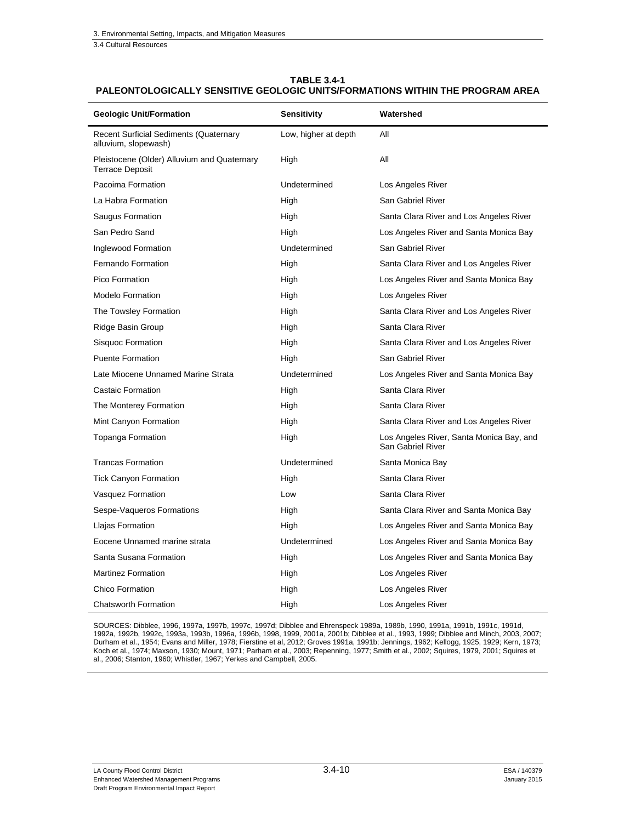3.4 Cultural Resources

l.

#### **TABLE 3.4-1 PALEONTOLOGICALLY SENSITIVE GEOLOGIC UNITS/FORMATIONS WITHIN THE PROGRAM AREA**

| <b>Geologic Unit/Formation</b>                                        | Sensitivity          | Watershed                                                     |  |
|-----------------------------------------------------------------------|----------------------|---------------------------------------------------------------|--|
| <b>Recent Surficial Sediments (Quaternary</b><br>alluvium, slopewash) | Low, higher at depth | All                                                           |  |
| Pleistocene (Older) Alluvium and Quaternary<br><b>Terrace Deposit</b> | High                 | All                                                           |  |
| Pacoima Formation                                                     | Undetermined         | Los Angeles River                                             |  |
| La Habra Formation                                                    | High                 | San Gabriel River                                             |  |
| Saugus Formation                                                      | High                 | Santa Clara River and Los Angeles River                       |  |
| San Pedro Sand                                                        | High                 | Los Angeles River and Santa Monica Bay                        |  |
| Inglewood Formation                                                   | Undetermined         | San Gabriel River                                             |  |
| Fernando Formation                                                    | High                 | Santa Clara River and Los Angeles River                       |  |
| Pico Formation                                                        | High                 | Los Angeles River and Santa Monica Bay                        |  |
| <b>Modelo Formation</b>                                               | High                 | Los Angeles River                                             |  |
| The Towsley Formation                                                 | High                 | Santa Clara River and Los Angeles River                       |  |
| Ridge Basin Group                                                     | High                 | Santa Clara River                                             |  |
| Sisquoc Formation                                                     | High                 | Santa Clara River and Los Angeles River                       |  |
| <b>Puente Formation</b>                                               | High                 | San Gabriel River                                             |  |
| Late Miocene Unnamed Marine Strata                                    | Undetermined         | Los Angeles River and Santa Monica Bay                        |  |
| Castaic Formation                                                     | High                 | Santa Clara River                                             |  |
| The Monterey Formation                                                | High                 | Santa Clara River                                             |  |
| Mint Canyon Formation                                                 | High                 | Santa Clara River and Los Angeles River                       |  |
| Topanga Formation                                                     | High                 | Los Angeles River, Santa Monica Bay, and<br>San Gabriel River |  |
| <b>Trancas Formation</b>                                              | Undetermined         | Santa Monica Bay                                              |  |
| <b>Tick Canyon Formation</b>                                          | High                 | Santa Clara River                                             |  |
| Vasquez Formation                                                     | Low                  | Santa Clara River                                             |  |
| Sespe-Vaqueros Formations                                             | High                 | Santa Clara River and Santa Monica Bay                        |  |
| Llajas Formation                                                      | High                 | Los Angeles River and Santa Monica Bay                        |  |
| Eocene Unnamed marine strata                                          | Undetermined         | Los Angeles River and Santa Monica Bay                        |  |
| Santa Susana Formation                                                | High                 | Los Angeles River and Santa Monica Bay                        |  |
| <b>Martinez Formation</b>                                             | High                 | Los Angeles River                                             |  |
| Chico Formation                                                       | High                 | Los Angeles River                                             |  |
| <b>Chatsworth Formation</b>                                           | High                 | Los Angeles River                                             |  |

SOURCES: Dibblee, 1996, 1997a, 1997b, 1997c, 1997d; Dibblee and Ehrenspeck 1989a, 1989b, 1990, 1991a, 1991b, 1991c, 1991d, 1992a, 1992b, 1992c, 1993a, 1993b, 1996a, 1996b, 1998, 1999, 2001a, 2001b; Dibblee et al., 1993, 1999; Dibblee and Minch, 2003, 2007; Durham et al., 1954; Evans and Miller, 1978; Fierstine et al, 2012; Groves 1991a, 1991b; Jennings, 1962; Kellogg, 1925, 1929; Kern, 1973; Koch et al., 1974; Maxson, 1930; Mount, 1971; Parham et al., 2003; Repenning, 1977; Smith et al., 2002; Squires, 1979, 2001; Squires et al., 2006; Stanton, 1960; Whistler, 1967; Yerkes and Campbell, 2005.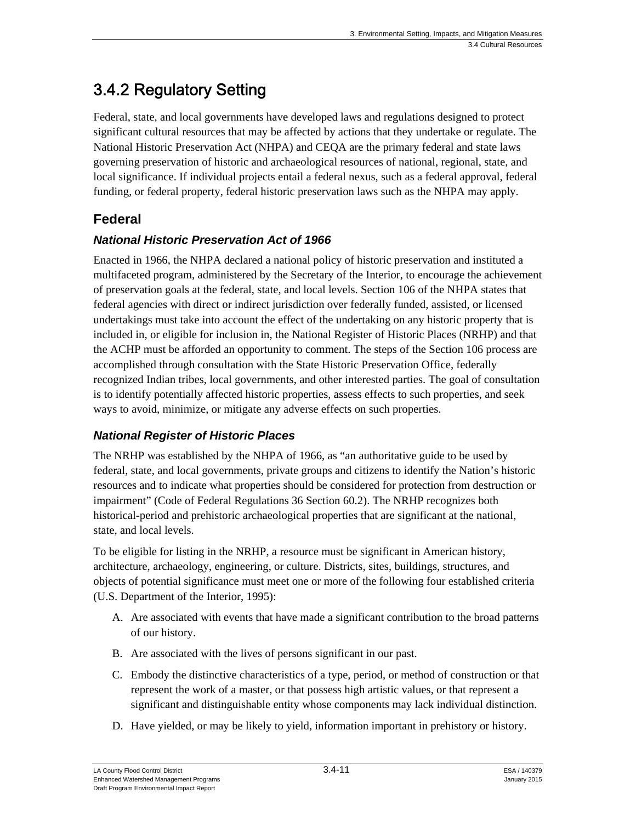# 3.4.2 Regulatory Setting

Federal, state, and local governments have developed laws and regulations designed to protect significant cultural resources that may be affected by actions that they undertake or regulate. The National Historic Preservation Act (NHPA) and CEQA are the primary federal and state laws governing preservation of historic and archaeological resources of national, regional, state, and local significance. If individual projects entail a federal nexus, such as a federal approval, federal funding, or federal property, federal historic preservation laws such as the NHPA may apply.

# **Federal**

### *National Historic Preservation Act of 1966*

Enacted in 1966, the NHPA declared a national policy of historic preservation and instituted a multifaceted program, administered by the Secretary of the Interior, to encourage the achievement of preservation goals at the federal, state, and local levels. Section 106 of the NHPA states that federal agencies with direct or indirect jurisdiction over federally funded, assisted, or licensed undertakings must take into account the effect of the undertaking on any historic property that is included in, or eligible for inclusion in, the National Register of Historic Places (NRHP) and that the ACHP must be afforded an opportunity to comment. The steps of the Section 106 process are accomplished through consultation with the State Historic Preservation Office, federally recognized Indian tribes, local governments, and other interested parties. The goal of consultation is to identify potentially affected historic properties, assess effects to such properties, and seek ways to avoid, minimize, or mitigate any adverse effects on such properties.

# *National Register of Historic Places*

The NRHP was established by the NHPA of 1966, as "an authoritative guide to be used by federal, state, and local governments, private groups and citizens to identify the Nation's historic resources and to indicate what properties should be considered for protection from destruction or impairment" (Code of Federal Regulations 36 Section 60.2). The NRHP recognizes both historical-period and prehistoric archaeological properties that are significant at the national, state, and local levels.

To be eligible for listing in the NRHP, a resource must be significant in American history, architecture, archaeology, engineering, or culture. Districts, sites, buildings, structures, and objects of potential significance must meet one or more of the following four established criteria (U.S. Department of the Interior, 1995):

- A. Are associated with events that have made a significant contribution to the broad patterns of our history.
- B. Are associated with the lives of persons significant in our past.
- C. Embody the distinctive characteristics of a type, period, or method of construction or that represent the work of a master, or that possess high artistic values, or that represent a significant and distinguishable entity whose components may lack individual distinction.
- D. Have yielded, or may be likely to yield, information important in prehistory or history.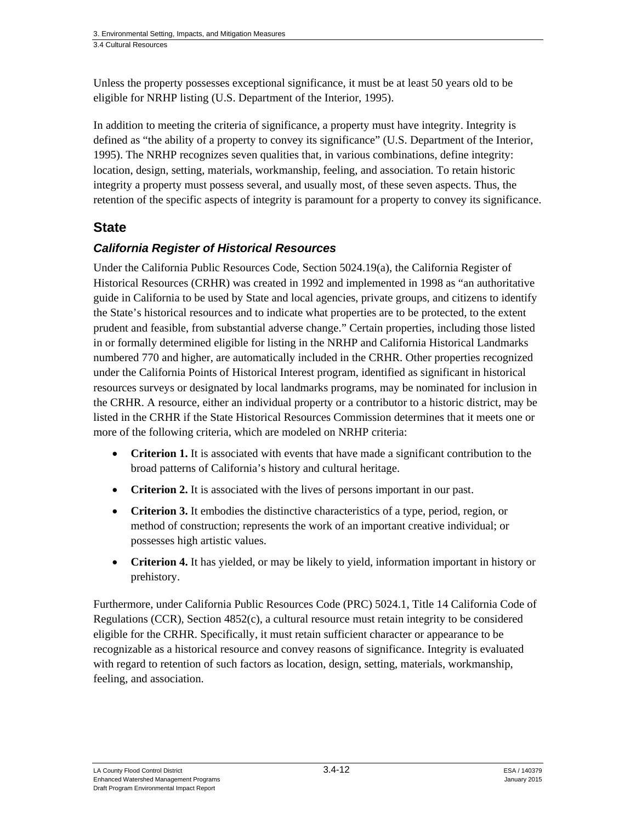Unless the property possesses exceptional significance, it must be at least 50 years old to be eligible for NRHP listing (U.S. Department of the Interior, 1995).

In addition to meeting the criteria of significance, a property must have integrity. Integrity is defined as "the ability of a property to convey its significance" (U.S. Department of the Interior, 1995). The NRHP recognizes seven qualities that, in various combinations, define integrity: location, design, setting, materials, workmanship, feeling, and association. To retain historic integrity a property must possess several, and usually most, of these seven aspects. Thus, the retention of the specific aspects of integrity is paramount for a property to convey its significance.

# **State**

# *California Register of Historical Resources*

Under the California Public Resources Code, Section 5024.19(a), the California Register of Historical Resources (CRHR) was created in 1992 and implemented in 1998 as "an authoritative guide in California to be used by State and local agencies, private groups, and citizens to identify the State's historical resources and to indicate what properties are to be protected, to the extent prudent and feasible, from substantial adverse change." Certain properties, including those listed in or formally determined eligible for listing in the NRHP and California Historical Landmarks numbered 770 and higher, are automatically included in the CRHR. Other properties recognized under the California Points of Historical Interest program, identified as significant in historical resources surveys or designated by local landmarks programs, may be nominated for inclusion in the CRHR. A resource, either an individual property or a contributor to a historic district, may be listed in the CRHR if the State Historical Resources Commission determines that it meets one or more of the following criteria, which are modeled on NRHP criteria:

- **Criterion 1.** It is associated with events that have made a significant contribution to the broad patterns of California's history and cultural heritage.
- **Criterion 2.** It is associated with the lives of persons important in our past.
- **Criterion 3.** It embodies the distinctive characteristics of a type, period, region, or method of construction; represents the work of an important creative individual; or possesses high artistic values.
- Criterion 4. It has yielded, or may be likely to yield, information important in history or prehistory.

Furthermore, under California Public Resources Code (PRC) 5024.1, Title 14 California Code of Regulations (CCR), Section 4852(c), a cultural resource must retain integrity to be considered eligible for the CRHR. Specifically, it must retain sufficient character or appearance to be recognizable as a historical resource and convey reasons of significance. Integrity is evaluated with regard to retention of such factors as location, design, setting, materials, workmanship, feeling, and association.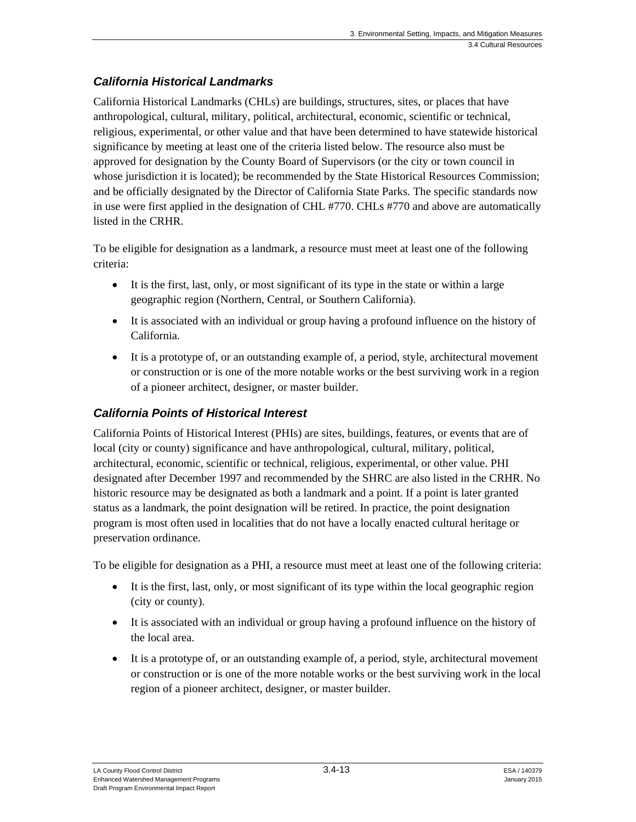# *California Historical Landmarks*

California Historical Landmarks (CHLs) are buildings, structures, sites, or places that have anthropological, cultural, military, political, architectural, economic, scientific or technical, religious, experimental, or other value and that have been determined to have statewide historical significance by meeting at least one of the criteria listed below. The resource also must be approved for designation by the County Board of Supervisors (or the city or town council in whose jurisdiction it is located); be recommended by the State Historical Resources Commission; and be officially designated by the Director of California State Parks. The specific standards now in use were first applied in the designation of CHL #770. CHLs #770 and above are automatically listed in the CRHR.

To be eligible for designation as a landmark, a resource must meet at least one of the following criteria:

- It is the first, last, only, or most significant of its type in the state or within a large geographic region (Northern, Central, or Southern California).
- It is associated with an individual or group having a profound influence on the history of California.
- It is a prototype of, or an outstanding example of, a period, style, architectural movement or construction or is one of the more notable works or the best surviving work in a region of a pioneer architect, designer, or master builder.

### *California Points of Historical Interest*

California Points of Historical Interest (PHIs) are sites, buildings, features, or events that are of local (city or county) significance and have anthropological, cultural, military, political, architectural, economic, scientific or technical, religious, experimental, or other value. PHI designated after December 1997 and recommended by the SHRC are also listed in the CRHR. No historic resource may be designated as both a landmark and a point. If a point is later granted status as a landmark, the point designation will be retired. In practice, the point designation program is most often used in localities that do not have a locally enacted cultural heritage or preservation ordinance.

To be eligible for designation as a PHI, a resource must meet at least one of the following criteria:

- It is the first, last, only, or most significant of its type within the local geographic region (city or county).
- It is associated with an individual or group having a profound influence on the history of the local area.
- It is a prototype of, or an outstanding example of, a period, style, architectural movement or construction or is one of the more notable works or the best surviving work in the local region of a pioneer architect, designer, or master builder.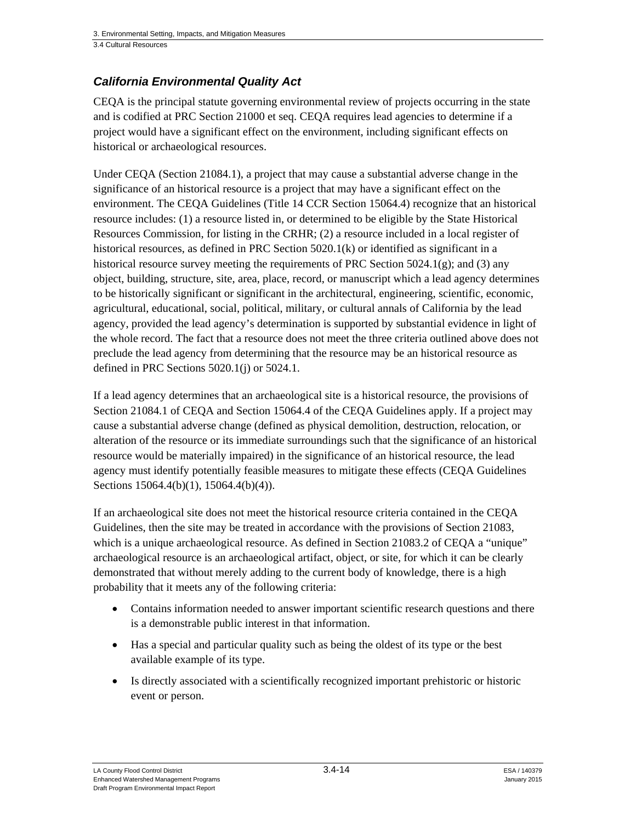### *California Environmental Quality Act*

CEQA is the principal statute governing environmental review of projects occurring in the state and is codified at PRC Section 21000 et seq. CEQA requires lead agencies to determine if a project would have a significant effect on the environment, including significant effects on historical or archaeological resources.

Under CEQA (Section 21084.1), a project that may cause a substantial adverse change in the significance of an historical resource is a project that may have a significant effect on the environment. The CEQA Guidelines (Title 14 CCR Section 15064.4) recognize that an historical resource includes: (1) a resource listed in, or determined to be eligible by the State Historical Resources Commission, for listing in the CRHR; (2) a resource included in a local register of historical resources, as defined in PRC Section 5020.1(k) or identified as significant in a historical resource survey meeting the requirements of PRC Section 5024.1(g); and (3) any object, building, structure, site, area, place, record, or manuscript which a lead agency determines to be historically significant or significant in the architectural, engineering, scientific, economic, agricultural, educational, social, political, military, or cultural annals of California by the lead agency, provided the lead agency's determination is supported by substantial evidence in light of the whole record. The fact that a resource does not meet the three criteria outlined above does not preclude the lead agency from determining that the resource may be an historical resource as defined in PRC Sections 5020.1(j) or 5024.1.

If a lead agency determines that an archaeological site is a historical resource, the provisions of Section 21084.1 of CEQA and Section 15064.4 of the CEQA Guidelines apply. If a project may cause a substantial adverse change (defined as physical demolition, destruction, relocation, or alteration of the resource or its immediate surroundings such that the significance of an historical resource would be materially impaired) in the significance of an historical resource, the lead agency must identify potentially feasible measures to mitigate these effects (CEQA Guidelines Sections 15064.4(b)(1), 15064.4(b)(4)).

If an archaeological site does not meet the historical resource criteria contained in the CEQA Guidelines, then the site may be treated in accordance with the provisions of Section 21083, which is a unique archaeological resource. As defined in Section 21083.2 of CEQA a "unique" archaeological resource is an archaeological artifact, object, or site, for which it can be clearly demonstrated that without merely adding to the current body of knowledge, there is a high probability that it meets any of the following criteria:

- Contains information needed to answer important scientific research questions and there is a demonstrable public interest in that information.
- Has a special and particular quality such as being the oldest of its type or the best available example of its type.
- Is directly associated with a scientifically recognized important prehistoric or historic event or person.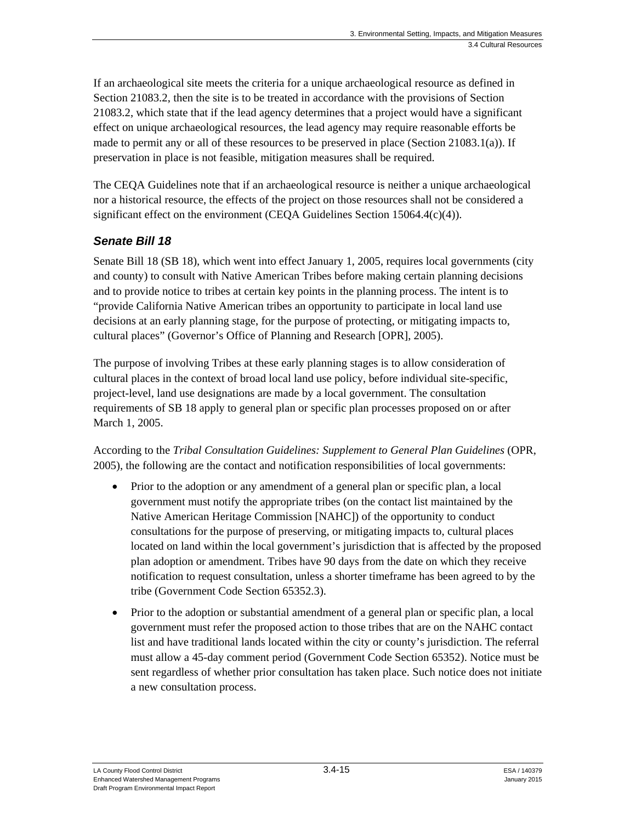If an archaeological site meets the criteria for a unique archaeological resource as defined in Section 21083.2, then the site is to be treated in accordance with the provisions of Section 21083.2, which state that if the lead agency determines that a project would have a significant effect on unique archaeological resources, the lead agency may require reasonable efforts be made to permit any or all of these resources to be preserved in place (Section 21083.1(a)). If preservation in place is not feasible, mitigation measures shall be required.

The CEQA Guidelines note that if an archaeological resource is neither a unique archaeological nor a historical resource, the effects of the project on those resources shall not be considered a significant effect on the environment (CEQA Guidelines Section  $15064.4(c)(4)$ ).

# *Senate Bill 18*

Senate Bill 18 (SB 18), which went into effect January 1, 2005, requires local governments (city and county) to consult with Native American Tribes before making certain planning decisions and to provide notice to tribes at certain key points in the planning process. The intent is to "provide California Native American tribes an opportunity to participate in local land use decisions at an early planning stage, for the purpose of protecting, or mitigating impacts to, cultural places" (Governor's Office of Planning and Research [OPR], 2005).

The purpose of involving Tribes at these early planning stages is to allow consideration of cultural places in the context of broad local land use policy, before individual site-specific, project-level, land use designations are made by a local government. The consultation requirements of SB 18 apply to general plan or specific plan processes proposed on or after March 1, 2005.

According to the *Tribal Consultation Guidelines: Supplement to General Plan Guidelines* (OPR, 2005), the following are the contact and notification responsibilities of local governments:

- Prior to the adoption or any amendment of a general plan or specific plan, a local government must notify the appropriate tribes (on the contact list maintained by the Native American Heritage Commission [NAHC]) of the opportunity to conduct consultations for the purpose of preserving, or mitigating impacts to, cultural places located on land within the local government's jurisdiction that is affected by the proposed plan adoption or amendment. Tribes have 90 days from the date on which they receive notification to request consultation, unless a shorter timeframe has been agreed to by the tribe (Government Code Section 65352.3).
- Prior to the adoption or substantial amendment of a general plan or specific plan, a local government must refer the proposed action to those tribes that are on the NAHC contact list and have traditional lands located within the city or county's jurisdiction. The referral must allow a 45-day comment period (Government Code Section 65352). Notice must be sent regardless of whether prior consultation has taken place. Such notice does not initiate a new consultation process.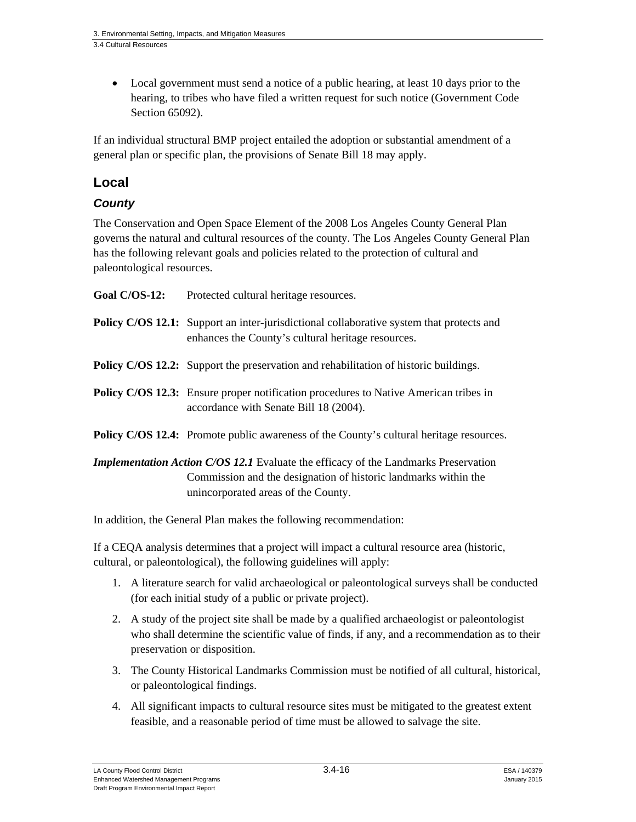Local government must send a notice of a public hearing, at least 10 days prior to the hearing, to tribes who have filed a written request for such notice (Government Code Section 65092).

If an individual structural BMP project entailed the adoption or substantial amendment of a general plan or specific plan, the provisions of Senate Bill 18 may apply.

# **Local**

# *County*

The Conservation and Open Space Element of the 2008 Los Angeles County General Plan governs the natural and cultural resources of the county. The Los Angeles County General Plan has the following relevant goals and policies related to the protection of cultural and paleontological resources.

| Goal $C/OS-12$ :                                                                           | Protected cultural heritage resources.                                                                                                                |  |  |  |  |
|--------------------------------------------------------------------------------------------|-------------------------------------------------------------------------------------------------------------------------------------------------------|--|--|--|--|
|                                                                                            | <b>Policy C/OS 12.1:</b> Support an inter-jurisdictional collaborative system that protects and<br>enhances the County's cultural heritage resources. |  |  |  |  |
|                                                                                            | <b>Policy C/OS 12.2:</b> Support the preservation and rehabilitation of historic buildings.                                                           |  |  |  |  |
|                                                                                            | <b>Policy C/OS 12.3:</b> Ensure proper notification procedures to Native American tribes in<br>accordance with Senate Bill 18 (2004).                 |  |  |  |  |
|                                                                                            | <b>Policy C/OS 12.4:</b> Promote public awareness of the County's cultural heritage resources.                                                        |  |  |  |  |
| <b>Implementation Action C/OS 12.1</b> Evaluate the efficacy of the Landmarks Preservation |                                                                                                                                                       |  |  |  |  |
|                                                                                            | Commission and the designation of historic landmarks within the<br>unincorporated areas of the County.                                                |  |  |  |  |

In addition, the General Plan makes the following recommendation:

If a CEQA analysis determines that a project will impact a cultural resource area (historic, cultural, or paleontological), the following guidelines will apply:

- 1. A literature search for valid archaeological or paleontological surveys shall be conducted (for each initial study of a public or private project).
- 2. A study of the project site shall be made by a qualified archaeologist or paleontologist who shall determine the scientific value of finds, if any, and a recommendation as to their preservation or disposition.
- 3. The County Historical Landmarks Commission must be notified of all cultural, historical, or paleontological findings.
- 4. All significant impacts to cultural resource sites must be mitigated to the greatest extent feasible, and a reasonable period of time must be allowed to salvage the site.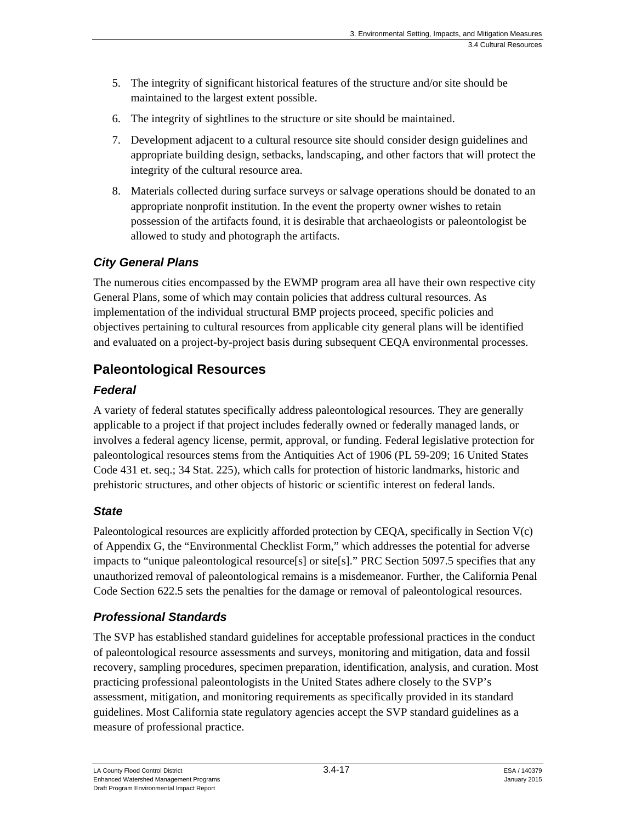- 5. The integrity of significant historical features of the structure and/or site should be maintained to the largest extent possible.
- 6. The integrity of sightlines to the structure or site should be maintained.
- 7. Development adjacent to a cultural resource site should consider design guidelines and appropriate building design, setbacks, landscaping, and other factors that will protect the integrity of the cultural resource area.
- 8. Materials collected during surface surveys or salvage operations should be donated to an appropriate nonprofit institution. In the event the property owner wishes to retain possession of the artifacts found, it is desirable that archaeologists or paleontologist be allowed to study and photograph the artifacts.

## *City General Plans*

The numerous cities encompassed by the EWMP program area all have their own respective city General Plans, some of which may contain policies that address cultural resources. As implementation of the individual structural BMP projects proceed, specific policies and objectives pertaining to cultural resources from applicable city general plans will be identified and evaluated on a project-by-project basis during subsequent CEQA environmental processes.

# **Paleontological Resources**

## *Federal*

A variety of federal statutes specifically address paleontological resources. They are generally applicable to a project if that project includes federally owned or federally managed lands, or involves a federal agency license, permit, approval, or funding. Federal legislative protection for paleontological resources stems from the Antiquities Act of 1906 (PL 59-209; 16 United States Code 431 et. seq.; 34 Stat. 225), which calls for protection of historic landmarks, historic and prehistoric structures, and other objects of historic or scientific interest on federal lands.

# *State*

Paleontological resources are explicitly afforded protection by CEQA, specifically in Section V(c) of Appendix G, the "Environmental Checklist Form," which addresses the potential for adverse impacts to "unique paleontological resource[s] or site[s]." PRC Section 5097.5 specifies that any unauthorized removal of paleontological remains is a misdemeanor. Further, the California Penal Code Section 622.5 sets the penalties for the damage or removal of paleontological resources.

# *Professional Standards*

The SVP has established standard guidelines for acceptable professional practices in the conduct of paleontological resource assessments and surveys, monitoring and mitigation, data and fossil recovery, sampling procedures, specimen preparation, identification, analysis, and curation. Most practicing professional paleontologists in the United States adhere closely to the SVP's assessment, mitigation, and monitoring requirements as specifically provided in its standard guidelines. Most California state regulatory agencies accept the SVP standard guidelines as a measure of professional practice.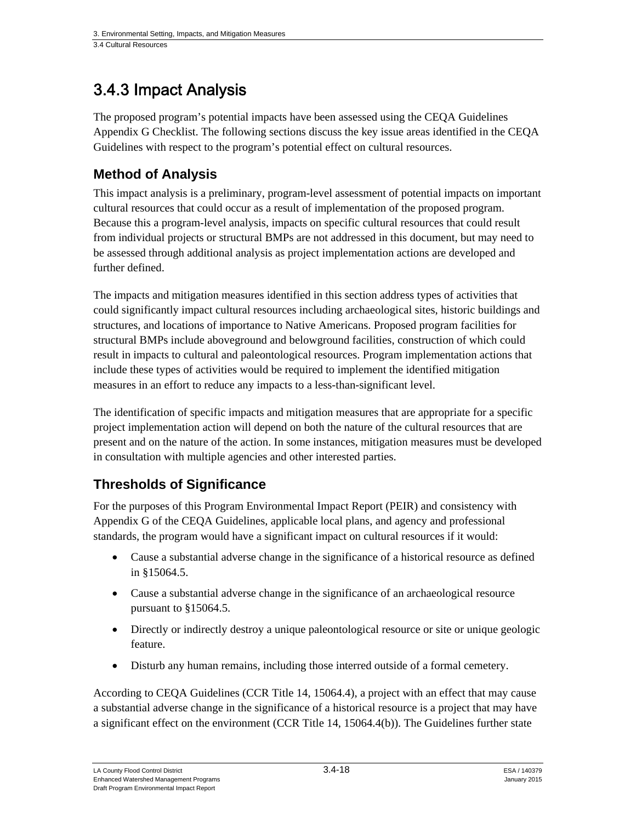# 3.4.3 Impact Analysis

The proposed program's potential impacts have been assessed using the CEQA Guidelines Appendix G Checklist. The following sections discuss the key issue areas identified in the CEQA Guidelines with respect to the program's potential effect on cultural resources.

# **Method of Analysis**

This impact analysis is a preliminary, program-level assessment of potential impacts on important cultural resources that could occur as a result of implementation of the proposed program. Because this a program-level analysis, impacts on specific cultural resources that could result from individual projects or structural BMPs are not addressed in this document, but may need to be assessed through additional analysis as project implementation actions are developed and further defined.

The impacts and mitigation measures identified in this section address types of activities that could significantly impact cultural resources including archaeological sites, historic buildings and structures, and locations of importance to Native Americans. Proposed program facilities for structural BMPs include aboveground and belowground facilities, construction of which could result in impacts to cultural and paleontological resources. Program implementation actions that include these types of activities would be required to implement the identified mitigation measures in an effort to reduce any impacts to a less-than-significant level.

The identification of specific impacts and mitigation measures that are appropriate for a specific project implementation action will depend on both the nature of the cultural resources that are present and on the nature of the action. In some instances, mitigation measures must be developed in consultation with multiple agencies and other interested parties.

# **Thresholds of Significance**

For the purposes of this Program Environmental Impact Report (PEIR) and consistency with Appendix G of the CEQA Guidelines, applicable local plans, and agency and professional standards, the program would have a significant impact on cultural resources if it would:

- Cause a substantial adverse change in the significance of a historical resource as defined in §15064.5.
- Cause a substantial adverse change in the significance of an archaeological resource pursuant to §15064.5.
- Directly or indirectly destroy a unique paleontological resource or site or unique geologic feature.
- Disturb any human remains, including those interred outside of a formal cemetery.

According to CEQA Guidelines (CCR Title 14, 15064.4), a project with an effect that may cause a substantial adverse change in the significance of a historical resource is a project that may have a significant effect on the environment (CCR Title 14, 15064.4(b)). The Guidelines further state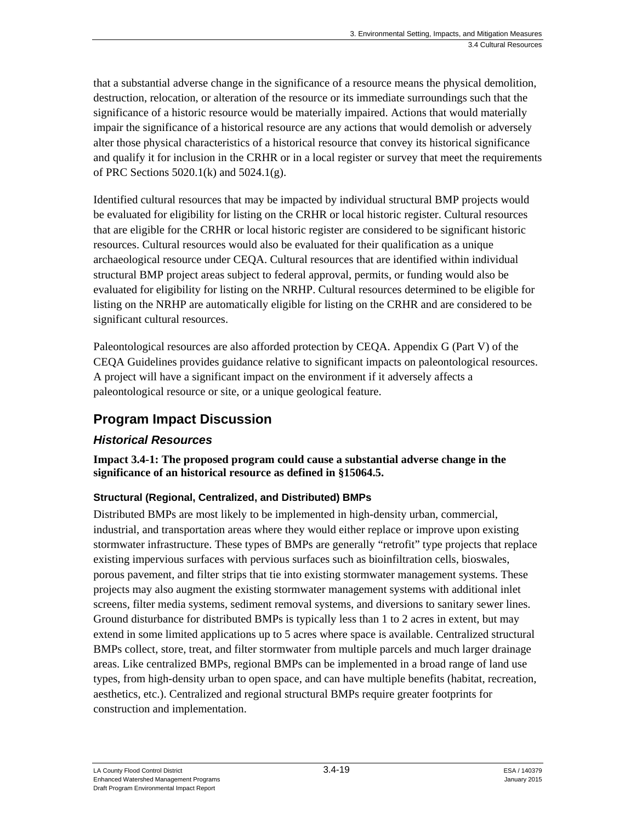that a substantial adverse change in the significance of a resource means the physical demolition, destruction, relocation, or alteration of the resource or its immediate surroundings such that the significance of a historic resource would be materially impaired. Actions that would materially impair the significance of a historical resource are any actions that would demolish or adversely alter those physical characteristics of a historical resource that convey its historical significance and qualify it for inclusion in the CRHR or in a local register or survey that meet the requirements of PRC Sections 5020.1(k) and 5024.1(g).

Identified cultural resources that may be impacted by individual structural BMP projects would be evaluated for eligibility for listing on the CRHR or local historic register. Cultural resources that are eligible for the CRHR or local historic register are considered to be significant historic resources. Cultural resources would also be evaluated for their qualification as a unique archaeological resource under CEQA. Cultural resources that are identified within individual structural BMP project areas subject to federal approval, permits, or funding would also be evaluated for eligibility for listing on the NRHP. Cultural resources determined to be eligible for listing on the NRHP are automatically eligible for listing on the CRHR and are considered to be significant cultural resources.

Paleontological resources are also afforded protection by CEQA. Appendix G (Part V) of the CEQA Guidelines provides guidance relative to significant impacts on paleontological resources. A project will have a significant impact on the environment if it adversely affects a paleontological resource or site, or a unique geological feature.

# **Program Impact Discussion**

# *Historical Resources*

**Impact 3.4-1: The proposed program could cause a substantial adverse change in the significance of an historical resource as defined in §15064.5.** 

### **Structural (Regional, Centralized, and Distributed) BMPs**

Distributed BMPs are most likely to be implemented in high-density urban, commercial, industrial, and transportation areas where they would either replace or improve upon existing stormwater infrastructure. These types of BMPs are generally "retrofit" type projects that replace existing impervious surfaces with pervious surfaces such as bioinfiltration cells, bioswales, porous pavement, and filter strips that tie into existing stormwater management systems. These projects may also augment the existing stormwater management systems with additional inlet screens, filter media systems, sediment removal systems, and diversions to sanitary sewer lines. Ground disturbance for distributed BMPs is typically less than 1 to 2 acres in extent, but may extend in some limited applications up to 5 acres where space is available. Centralized structural BMPs collect, store, treat, and filter stormwater from multiple parcels and much larger drainage areas. Like centralized BMPs, regional BMPs can be implemented in a broad range of land use types, from high-density urban to open space, and can have multiple benefits (habitat, recreation, aesthetics, etc.). Centralized and regional structural BMPs require greater footprints for construction and implementation.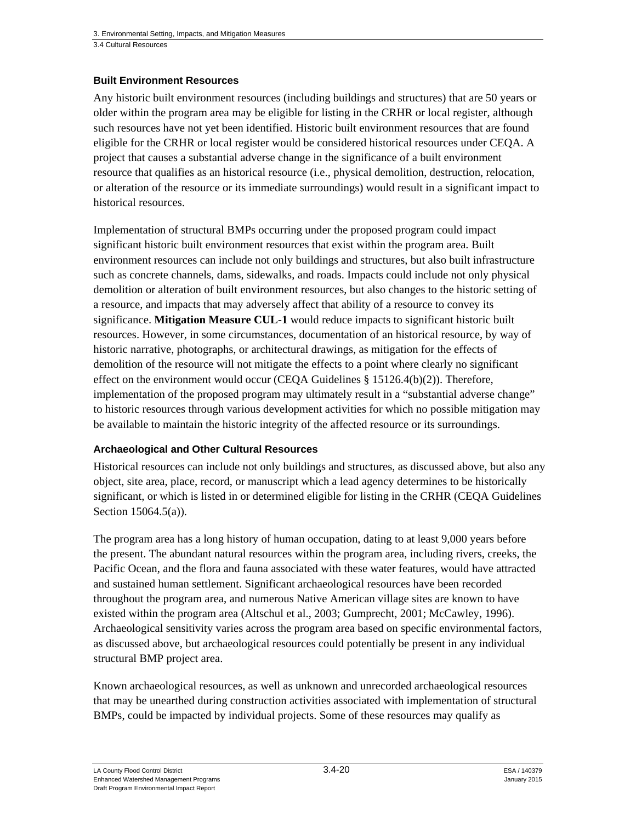### **Built Environment Resources**

Any historic built environment resources (including buildings and structures) that are 50 years or older within the program area may be eligible for listing in the CRHR or local register, although such resources have not yet been identified. Historic built environment resources that are found eligible for the CRHR or local register would be considered historical resources under CEQA. A project that causes a substantial adverse change in the significance of a built environment resource that qualifies as an historical resource (i.e., physical demolition, destruction, relocation, or alteration of the resource or its immediate surroundings) would result in a significant impact to historical resources.

Implementation of structural BMPs occurring under the proposed program could impact significant historic built environment resources that exist within the program area. Built environment resources can include not only buildings and structures, but also built infrastructure such as concrete channels, dams, sidewalks, and roads. Impacts could include not only physical demolition or alteration of built environment resources, but also changes to the historic setting of a resource, and impacts that may adversely affect that ability of a resource to convey its significance. **Mitigation Measure CUL-1** would reduce impacts to significant historic built resources. However, in some circumstances, documentation of an historical resource, by way of historic narrative, photographs, or architectural drawings, as mitigation for the effects of demolition of the resource will not mitigate the effects to a point where clearly no significant effect on the environment would occur (CEQA Guidelines  $\S$  15126.4(b)(2)). Therefore, implementation of the proposed program may ultimately result in a "substantial adverse change" to historic resources through various development activities for which no possible mitigation may be available to maintain the historic integrity of the affected resource or its surroundings.

### **Archaeological and Other Cultural Resources**

Historical resources can include not only buildings and structures, as discussed above, but also any object, site area, place, record, or manuscript which a lead agency determines to be historically significant, or which is listed in or determined eligible for listing in the CRHR (CEQA Guidelines Section 15064.5(a)).

The program area has a long history of human occupation, dating to at least 9,000 years before the present. The abundant natural resources within the program area, including rivers, creeks, the Pacific Ocean, and the flora and fauna associated with these water features, would have attracted and sustained human settlement. Significant archaeological resources have been recorded throughout the program area, and numerous Native American village sites are known to have existed within the program area (Altschul et al., 2003; Gumprecht, 2001; McCawley, 1996). Archaeological sensitivity varies across the program area based on specific environmental factors, as discussed above, but archaeological resources could potentially be present in any individual structural BMP project area.

Known archaeological resources, as well as unknown and unrecorded archaeological resources that may be unearthed during construction activities associated with implementation of structural BMPs, could be impacted by individual projects. Some of these resources may qualify as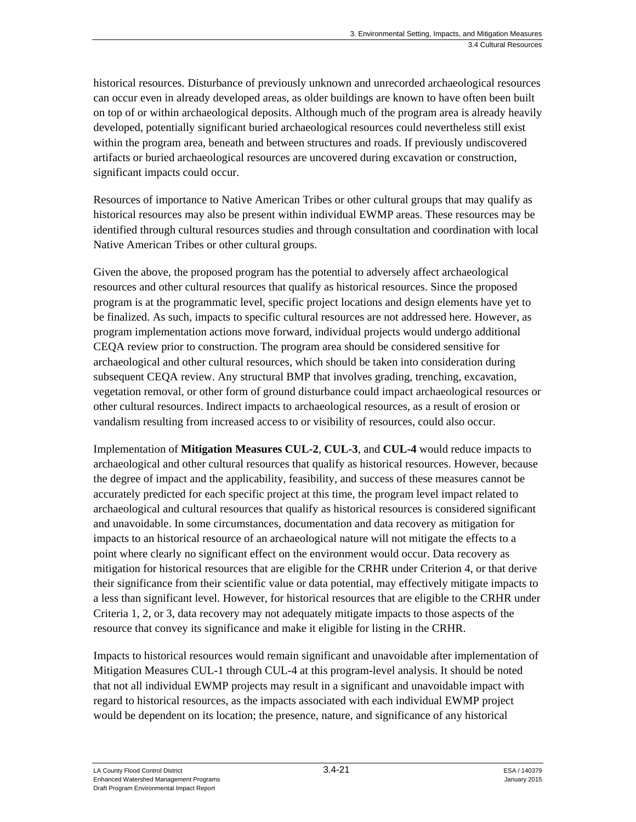historical resources. Disturbance of previously unknown and unrecorded archaeological resources can occur even in already developed areas, as older buildings are known to have often been built on top of or within archaeological deposits. Although much of the program area is already heavily developed, potentially significant buried archaeological resources could nevertheless still exist within the program area, beneath and between structures and roads. If previously undiscovered artifacts or buried archaeological resources are uncovered during excavation or construction, significant impacts could occur.

Resources of importance to Native American Tribes or other cultural groups that may qualify as historical resources may also be present within individual EWMP areas. These resources may be identified through cultural resources studies and through consultation and coordination with local Native American Tribes or other cultural groups.

Given the above, the proposed program has the potential to adversely affect archaeological resources and other cultural resources that qualify as historical resources. Since the proposed program is at the programmatic level, specific project locations and design elements have yet to be finalized. As such, impacts to specific cultural resources are not addressed here. However, as program implementation actions move forward, individual projects would undergo additional CEQA review prior to construction. The program area should be considered sensitive for archaeological and other cultural resources, which should be taken into consideration during subsequent CEQA review. Any structural BMP that involves grading, trenching, excavation, vegetation removal, or other form of ground disturbance could impact archaeological resources or other cultural resources. Indirect impacts to archaeological resources, as a result of erosion or vandalism resulting from increased access to or visibility of resources, could also occur.

Implementation of **Mitigation Measures CUL-2**, **CUL-3**, and **CUL-4** would reduce impacts to archaeological and other cultural resources that qualify as historical resources. However, because the degree of impact and the applicability, feasibility, and success of these measures cannot be accurately predicted for each specific project at this time, the program level impact related to archaeological and cultural resources that qualify as historical resources is considered significant and unavoidable. In some circumstances, documentation and data recovery as mitigation for impacts to an historical resource of an archaeological nature will not mitigate the effects to a point where clearly no significant effect on the environment would occur. Data recovery as mitigation for historical resources that are eligible for the CRHR under Criterion 4, or that derive their significance from their scientific value or data potential, may effectively mitigate impacts to a less than significant level. However, for historical resources that are eligible to the CRHR under Criteria 1, 2, or 3, data recovery may not adequately mitigate impacts to those aspects of the resource that convey its significance and make it eligible for listing in the CRHR.

Impacts to historical resources would remain significant and unavoidable after implementation of Mitigation Measures CUL-1 through CUL-4 at this program-level analysis. It should be noted that not all individual EWMP projects may result in a significant and unavoidable impact with regard to historical resources, as the impacts associated with each individual EWMP project would be dependent on its location; the presence, nature, and significance of any historical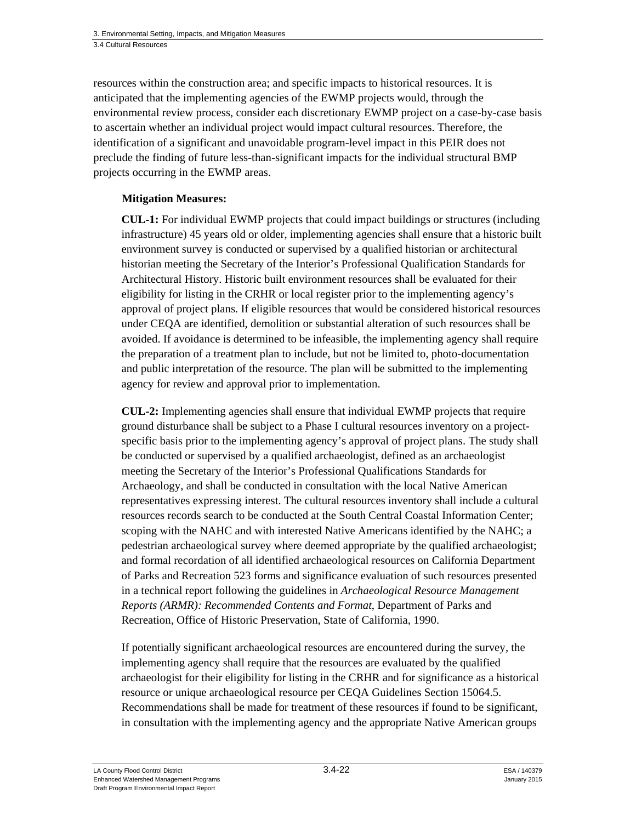resources within the construction area; and specific impacts to historical resources. It is anticipated that the implementing agencies of the EWMP projects would, through the environmental review process, consider each discretionary EWMP project on a case-by-case basis to ascertain whether an individual project would impact cultural resources. Therefore, the identification of a significant and unavoidable program-level impact in this PEIR does not preclude the finding of future less-than-significant impacts for the individual structural BMP projects occurring in the EWMP areas.

### **Mitigation Measures:**

**CUL-1:** For individual EWMP projects that could impact buildings or structures (including infrastructure) 45 years old or older, implementing agencies shall ensure that a historic built environment survey is conducted or supervised by a qualified historian or architectural historian meeting the Secretary of the Interior's Professional Qualification Standards for Architectural History. Historic built environment resources shall be evaluated for their eligibility for listing in the CRHR or local register prior to the implementing agency's approval of project plans. If eligible resources that would be considered historical resources under CEQA are identified, demolition or substantial alteration of such resources shall be avoided. If avoidance is determined to be infeasible, the implementing agency shall require the preparation of a treatment plan to include, but not be limited to, photo-documentation and public interpretation of the resource. The plan will be submitted to the implementing agency for review and approval prior to implementation.

**CUL-2:** Implementing agencies shall ensure that individual EWMP projects that require ground disturbance shall be subject to a Phase I cultural resources inventory on a projectspecific basis prior to the implementing agency's approval of project plans. The study shall be conducted or supervised by a qualified archaeologist, defined as an archaeologist meeting the Secretary of the Interior's Professional Qualifications Standards for Archaeology, and shall be conducted in consultation with the local Native American representatives expressing interest. The cultural resources inventory shall include a cultural resources records search to be conducted at the South Central Coastal Information Center; scoping with the NAHC and with interested Native Americans identified by the NAHC; a pedestrian archaeological survey where deemed appropriate by the qualified archaeologist; and formal recordation of all identified archaeological resources on California Department of Parks and Recreation 523 forms and significance evaluation of such resources presented in a technical report following the guidelines in *Archaeological Resource Management Reports (ARMR): Recommended Contents and Format*, Department of Parks and Recreation, Office of Historic Preservation, State of California, 1990.

If potentially significant archaeological resources are encountered during the survey, the implementing agency shall require that the resources are evaluated by the qualified archaeologist for their eligibility for listing in the CRHR and for significance as a historical resource or unique archaeological resource per CEQA Guidelines Section 15064.5. Recommendations shall be made for treatment of these resources if found to be significant, in consultation with the implementing agency and the appropriate Native American groups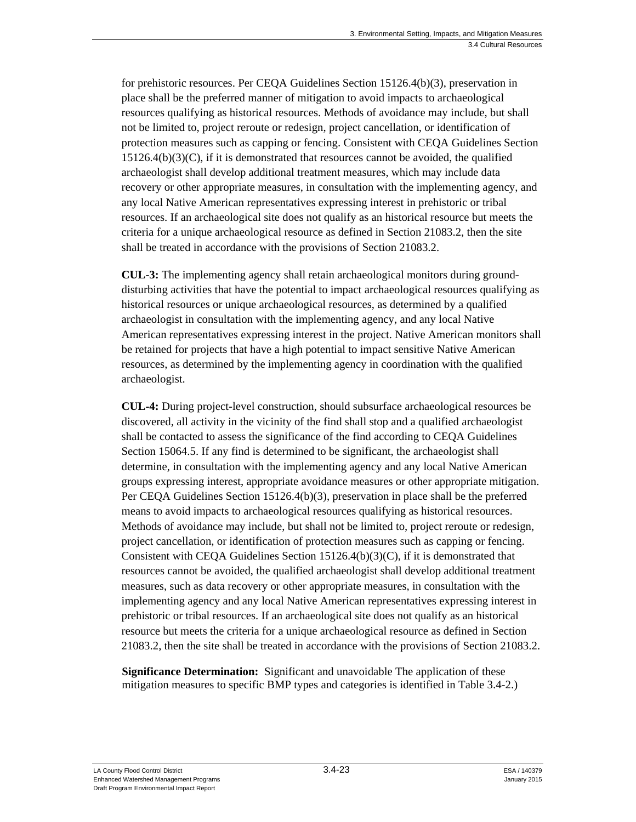for prehistoric resources. Per CEQA Guidelines Section 15126.4(b)(3), preservation in place shall be the preferred manner of mitigation to avoid impacts to archaeological resources qualifying as historical resources. Methods of avoidance may include, but shall not be limited to, project reroute or redesign, project cancellation, or identification of protection measures such as capping or fencing. Consistent with CEQA Guidelines Section  $15126.4(b)(3)(C)$ , if it is demonstrated that resources cannot be avoided, the qualified archaeologist shall develop additional treatment measures, which may include data recovery or other appropriate measures, in consultation with the implementing agency, and any local Native American representatives expressing interest in prehistoric or tribal resources. If an archaeological site does not qualify as an historical resource but meets the criteria for a unique archaeological resource as defined in Section 21083.2, then the site shall be treated in accordance with the provisions of Section 21083.2.

**CUL-3:** The implementing agency shall retain archaeological monitors during grounddisturbing activities that have the potential to impact archaeological resources qualifying as historical resources or unique archaeological resources, as determined by a qualified archaeologist in consultation with the implementing agency, and any local Native American representatives expressing interest in the project. Native American monitors shall be retained for projects that have a high potential to impact sensitive Native American resources, as determined by the implementing agency in coordination with the qualified archaeologist.

**CUL-4:** During project-level construction, should subsurface archaeological resources be discovered, all activity in the vicinity of the find shall stop and a qualified archaeologist shall be contacted to assess the significance of the find according to CEQA Guidelines Section 15064.5. If any find is determined to be significant, the archaeologist shall determine, in consultation with the implementing agency and any local Native American groups expressing interest, appropriate avoidance measures or other appropriate mitigation. Per CEQA Guidelines Section 15126.4(b)(3), preservation in place shall be the preferred means to avoid impacts to archaeological resources qualifying as historical resources. Methods of avoidance may include, but shall not be limited to, project reroute or redesign, project cancellation, or identification of protection measures such as capping or fencing. Consistent with CEOA Guidelines Section  $15126.4(b)(3)(C)$ , if it is demonstrated that resources cannot be avoided, the qualified archaeologist shall develop additional treatment measures, such as data recovery or other appropriate measures, in consultation with the implementing agency and any local Native American representatives expressing interest in prehistoric or tribal resources. If an archaeological site does not qualify as an historical resource but meets the criteria for a unique archaeological resource as defined in Section 21083.2, then the site shall be treated in accordance with the provisions of Section 21083.2.

**Significance Determination:** Significant and unavoidable The application of these mitigation measures to specific BMP types and categories is identified in Table 3.4-2.)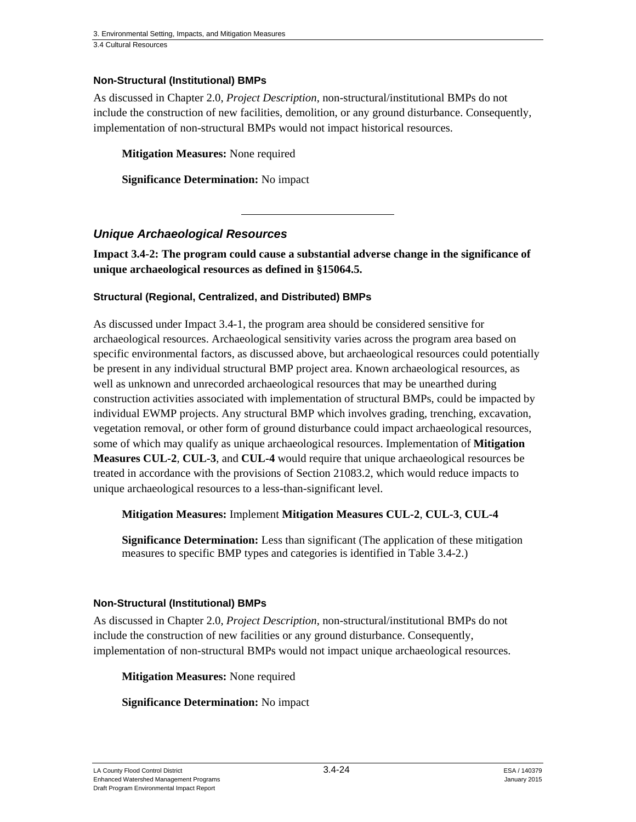### **Non-Structural (Institutional) BMPs**

As discussed in Chapter 2.0, *Project Description*, non-structural/institutional BMPs do not include the construction of new facilities, demolition, or any ground disturbance. Consequently, implementation of non-structural BMPs would not impact historical resources.

**Mitigation Measures:** None required

**Significance Determination:** No impact

### *Unique Archaeological Resources*

**Impact 3.4-2: The program could cause a substantial adverse change in the significance of unique archaeological resources as defined in §15064.5.** 

#### **Structural (Regional, Centralized, and Distributed) BMPs**

As discussed under Impact 3.4-1, the program area should be considered sensitive for archaeological resources. Archaeological sensitivity varies across the program area based on specific environmental factors, as discussed above, but archaeological resources could potentially be present in any individual structural BMP project area. Known archaeological resources, as well as unknown and unrecorded archaeological resources that may be unearthed during construction activities associated with implementation of structural BMPs, could be impacted by individual EWMP projects. Any structural BMP which involves grading, trenching, excavation, vegetation removal, or other form of ground disturbance could impact archaeological resources, some of which may qualify as unique archaeological resources. Implementation of **Mitigation Measures CUL-2**, **CUL-3**, and **CUL-4** would require that unique archaeological resources be treated in accordance with the provisions of Section 21083.2, which would reduce impacts to unique archaeological resources to a less-than-significant level.

#### **Mitigation Measures:** Implement **Mitigation Measures CUL-2**, **CUL-3**, **CUL-4**

**Significance Determination:** Less than significant (The application of these mitigation measures to specific BMP types and categories is identified in Table 3.4-2.)

#### **Non-Structural (Institutional) BMPs**

As discussed in Chapter 2.0, *Project Description*, non-structural/institutional BMPs do not include the construction of new facilities or any ground disturbance. Consequently, implementation of non-structural BMPs would not impact unique archaeological resources.

**Mitigation Measures:** None required

#### **Significance Determination:** No impact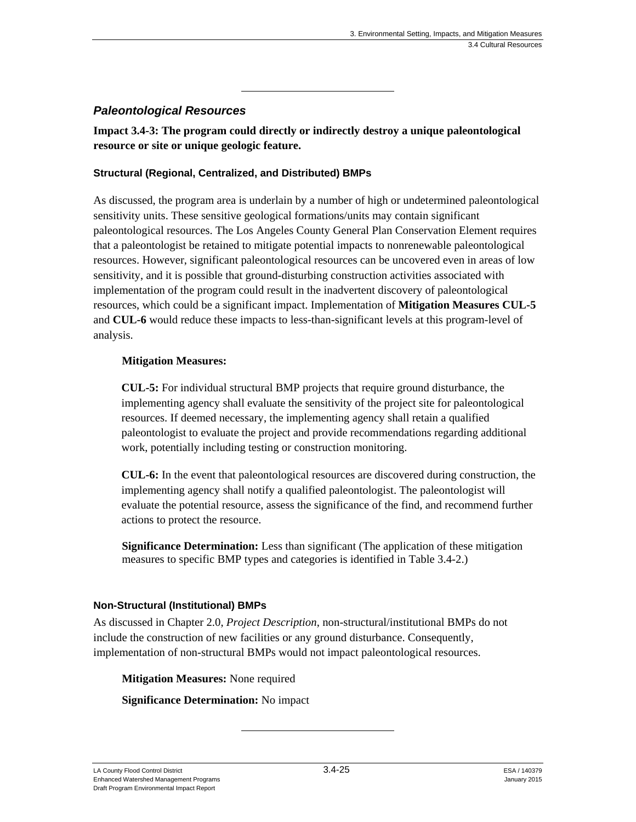### *Paleontological Resources*

**Impact 3.4-3: The program could directly or indirectly destroy a unique paleontological resource or site or unique geologic feature.** 

#### **Structural (Regional, Centralized, and Distributed) BMPs**

As discussed, the program area is underlain by a number of high or undetermined paleontological sensitivity units. These sensitive geological formations/units may contain significant paleontological resources. The Los Angeles County General Plan Conservation Element requires that a paleontologist be retained to mitigate potential impacts to nonrenewable paleontological resources. However, significant paleontological resources can be uncovered even in areas of low sensitivity, and it is possible that ground-disturbing construction activities associated with implementation of the program could result in the inadvertent discovery of paleontological resources, which could be a significant impact. Implementation of **Mitigation Measures CUL-5** and **CUL-6** would reduce these impacts to less-than-significant levels at this program-level of analysis.

#### **Mitigation Measures:**

**CUL-5:** For individual structural BMP projects that require ground disturbance, the implementing agency shall evaluate the sensitivity of the project site for paleontological resources. If deemed necessary, the implementing agency shall retain a qualified paleontologist to evaluate the project and provide recommendations regarding additional work, potentially including testing or construction monitoring.

**CUL-6:** In the event that paleontological resources are discovered during construction, the implementing agency shall notify a qualified paleontologist. The paleontologist will evaluate the potential resource, assess the significance of the find, and recommend further actions to protect the resource.

**Significance Determination:** Less than significant (The application of these mitigation measures to specific BMP types and categories is identified in Table 3.4-2.)

### **Non-Structural (Institutional) BMPs**

As discussed in Chapter 2.0, *Project Description*, non-structural/institutional BMPs do not include the construction of new facilities or any ground disturbance. Consequently, implementation of non-structural BMPs would not impact paleontological resources.

**Mitigation Measures:** None required

**Significance Determination:** No impact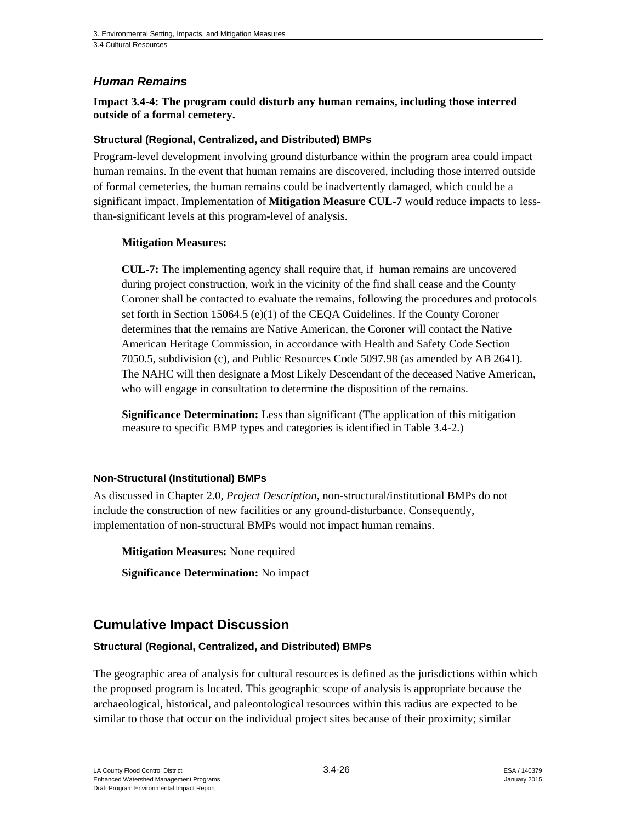### *Human Remains*

**Impact 3.4-4: The program could disturb any human remains, including those interred outside of a formal cemetery.** 

#### **Structural (Regional, Centralized, and Distributed) BMPs**

Program-level development involving ground disturbance within the program area could impact human remains. In the event that human remains are discovered, including those interred outside of formal cemeteries, the human remains could be inadvertently damaged, which could be a significant impact. Implementation of **Mitigation Measure CUL-7** would reduce impacts to lessthan-significant levels at this program-level of analysis.

#### **Mitigation Measures:**

**CUL-7:** The implementing agency shall require that, if human remains are uncovered during project construction, work in the vicinity of the find shall cease and the County Coroner shall be contacted to evaluate the remains, following the procedures and protocols set forth in Section 15064.5 (e)(1) of the CEQA Guidelines. If the County Coroner determines that the remains are Native American, the Coroner will contact the Native American Heritage Commission, in accordance with Health and Safety Code Section 7050.5, subdivision (c), and Public Resources Code 5097.98 (as amended by AB 2641). The NAHC will then designate a Most Likely Descendant of the deceased Native American, who will engage in consultation to determine the disposition of the remains.

**Significance Determination:** Less than significant (The application of this mitigation measure to specific BMP types and categories is identified in Table 3.4-2.)

### **Non-Structural (Institutional) BMPs**

As discussed in Chapter 2.0, *Project Description*, non-structural/institutional BMPs do not include the construction of new facilities or any ground-disturbance. Consequently, implementation of non-structural BMPs would not impact human remains.

**Mitigation Measures:** None required

**Significance Determination:** No impact

# **Cumulative Impact Discussion**

### **Structural (Regional, Centralized, and Distributed) BMPs**

The geographic area of analysis for cultural resources is defined as the jurisdictions within which the proposed program is located. This geographic scope of analysis is appropriate because the archaeological, historical, and paleontological resources within this radius are expected to be similar to those that occur on the individual project sites because of their proximity; similar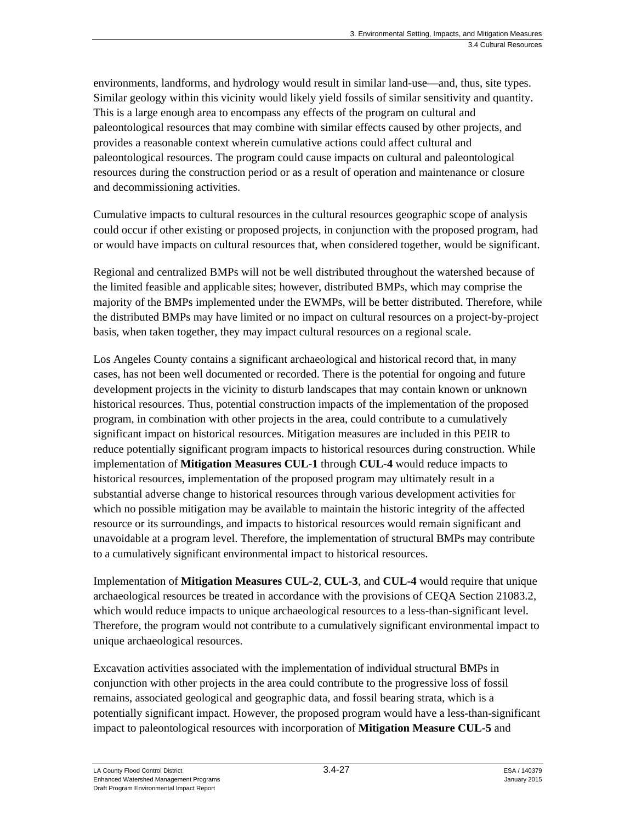environments, landforms, and hydrology would result in similar land-use—and, thus, site types. Similar geology within this vicinity would likely yield fossils of similar sensitivity and quantity. This is a large enough area to encompass any effects of the program on cultural and paleontological resources that may combine with similar effects caused by other projects, and provides a reasonable context wherein cumulative actions could affect cultural and paleontological resources. The program could cause impacts on cultural and paleontological resources during the construction period or as a result of operation and maintenance or closure and decommissioning activities.

Cumulative impacts to cultural resources in the cultural resources geographic scope of analysis could occur if other existing or proposed projects, in conjunction with the proposed program, had or would have impacts on cultural resources that, when considered together, would be significant.

Regional and centralized BMPs will not be well distributed throughout the watershed because of the limited feasible and applicable sites; however, distributed BMPs, which may comprise the majority of the BMPs implemented under the EWMPs, will be better distributed. Therefore, while the distributed BMPs may have limited or no impact on cultural resources on a project-by-project basis, when taken together, they may impact cultural resources on a regional scale.

Los Angeles County contains a significant archaeological and historical record that, in many cases, has not been well documented or recorded. There is the potential for ongoing and future development projects in the vicinity to disturb landscapes that may contain known or unknown historical resources. Thus, potential construction impacts of the implementation of the proposed program, in combination with other projects in the area, could contribute to a cumulatively significant impact on historical resources. Mitigation measures are included in this PEIR to reduce potentially significant program impacts to historical resources during construction. While implementation of **Mitigation Measures CUL-1** through **CUL-4** would reduce impacts to historical resources, implementation of the proposed program may ultimately result in a substantial adverse change to historical resources through various development activities for which no possible mitigation may be available to maintain the historic integrity of the affected resource or its surroundings, and impacts to historical resources would remain significant and unavoidable at a program level. Therefore, the implementation of structural BMPs may contribute to a cumulatively significant environmental impact to historical resources.

Implementation of **Mitigation Measures CUL-2**, **CUL-3**, and **CUL-4** would require that unique archaeological resources be treated in accordance with the provisions of CEQA Section 21083.2, which would reduce impacts to unique archaeological resources to a less-than-significant level. Therefore, the program would not contribute to a cumulatively significant environmental impact to unique archaeological resources.

Excavation activities associated with the implementation of individual structural BMPs in conjunction with other projects in the area could contribute to the progressive loss of fossil remains, associated geological and geographic data, and fossil bearing strata, which is a potentially significant impact. However, the proposed program would have a less-than-significant impact to paleontological resources with incorporation of **Mitigation Measure CUL-5** and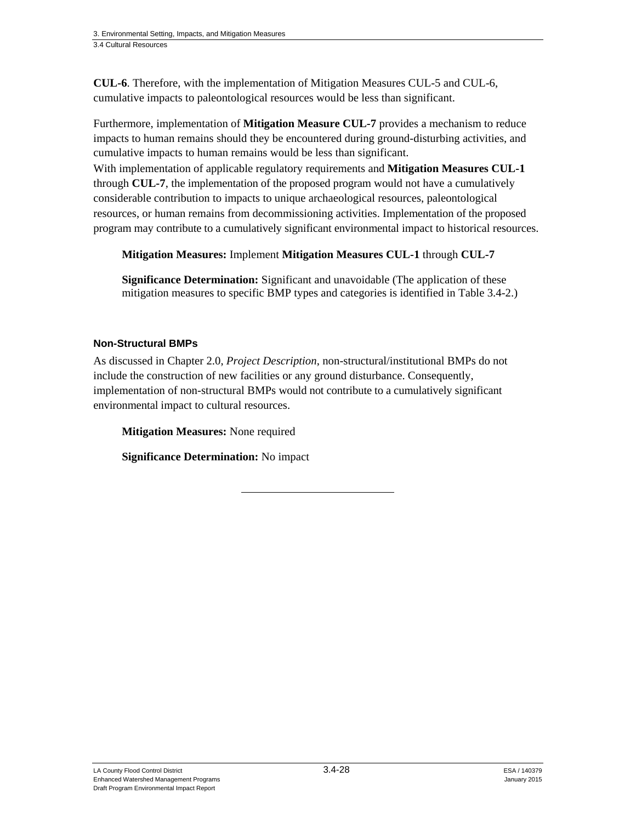**CUL-6**. Therefore, with the implementation of Mitigation Measures CUL-5 and CUL-6, cumulative impacts to paleontological resources would be less than significant.

Furthermore, implementation of **Mitigation Measure CUL-7** provides a mechanism to reduce impacts to human remains should they be encountered during ground-disturbing activities, and cumulative impacts to human remains would be less than significant.

With implementation of applicable regulatory requirements and **Mitigation Measures CUL-1** through **CUL-7**, the implementation of the proposed program would not have a cumulatively considerable contribution to impacts to unique archaeological resources, paleontological resources, or human remains from decommissioning activities. Implementation of the proposed program may contribute to a cumulatively significant environmental impact to historical resources.

**Mitigation Measures:** Implement **Mitigation Measures CUL-1** through **CUL-7** 

**Significance Determination:** Significant and unavoidable (The application of these mitigation measures to specific BMP types and categories is identified in Table 3.4-2.)

### **Non-Structural BMPs**

As discussed in Chapter 2.0, *Project Description*, non-structural/institutional BMPs do not include the construction of new facilities or any ground disturbance. Consequently, implementation of non-structural BMPs would not contribute to a cumulatively significant environmental impact to cultural resources.

**Mitigation Measures:** None required

**Significance Determination:** No impact